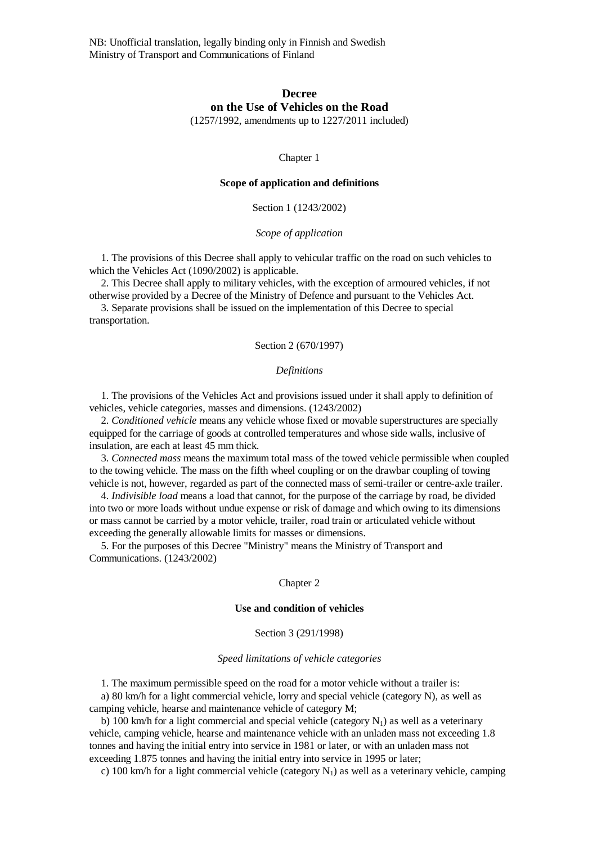NB: Unofficial translation, legally binding only in Finnish and Swedish Ministry of Transport and Communications of Finland

# **Decree on the Use of Vehicles on the Road**

(1257/1992, amendments up to 1227/2011 included)

Chapter 1

### **Scope of application and definitions**

Section 1 (1243/2002)

*Scope of application*

 1. The provisions of this Decree shall apply to vehicular traffic on the road on such vehicles to which the Vehicles Act (1090/2002) is applicable.

 2. This Decree shall apply to military vehicles, with the exception of armoured vehicles, if not otherwise provided by a Decree of the Ministry of Defence and pursuant to the Vehicles Act.

 3. Separate provisions shall be issued on the implementation of this Decree to special transportation.

## Section 2 (670/1997)

#### *Definitions*

 1. The provisions of the Vehicles Act and provisions issued under it shall apply to definition of vehicles, vehicle categories, masses and dimensions. (1243/2002)

 2. *Conditioned vehicle* means any vehicle whose fixed or movable superstructures are specially equipped for the carriage of goods at controlled temperatures and whose side walls, inclusive of insulation, are each at least 45 mm thick.

 3. *Connected mass* means the maximum total mass of the towed vehicle permissible when coupled to the towing vehicle. The mass on the fifth wheel coupling or on the drawbar coupling of towing vehicle is not, however, regarded as part of the connected mass of semi-trailer or centre-axle trailer.

 4. *Indivisible load* means a load that cannot, for the purpose of the carriage by road, be divided into two or more loads without undue expense or risk of damage and which owing to its dimensions or mass cannot be carried by a motor vehicle, trailer, road train or articulated vehicle without exceeding the generally allowable limits for masses or dimensions.

 5. For the purposes of this Decree "Ministry" means the Ministry of Transport and Communications. (1243/2002)

#### Chapter 2

# **Use and condition of vehicles**

### Section 3 (291/1998)

## *Speed limitations of vehicle categories*

1. The maximum permissible speed on the road for a motor vehicle without a trailer is:

 a) 80 km/h for a light commercial vehicle, lorry and special vehicle (category N), as well as camping vehicle, hearse and maintenance vehicle of category M;

b) 100 km/h for a light commercial and special vehicle (category  $N_1$ ) as well as a veterinary vehicle, camping vehicle, hearse and maintenance vehicle with an unladen mass not exceeding 1.8 tonnes and having the initial entry into service in 1981 or later, or with an unladen mass not exceeding 1.875 tonnes and having the initial entry into service in 1995 or later;

c) 100 km/h for a light commercial vehicle (category  $N_1$ ) as well as a veterinary vehicle, camping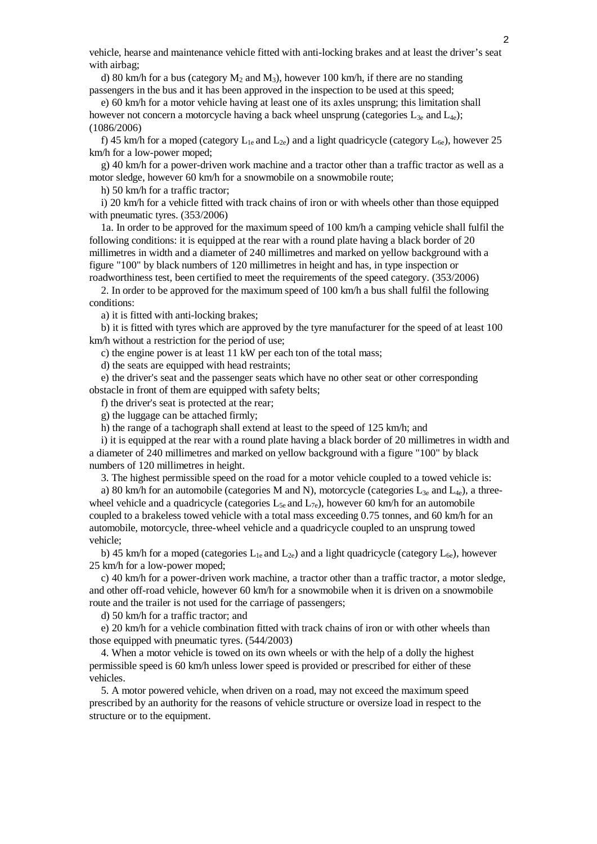vehicle, hearse and maintenance vehicle fitted with anti-locking brakes and at least the driver's seat with airbag;

d) 80 km/h for a bus (category  $M_2$  and  $M_3$ ), however 100 km/h, if there are no standing passengers in the bus and it has been approved in the inspection to be used at this speed;

 e) 60 km/h for a motor vehicle having at least one of its axles unsprung; this limitation shall however not concern a motorcycle having a back wheel unsprung (categories  $L_{3e}$  and  $L_{4e}$ ); (1086/2006)

f) 45 km/h for a moped (category  $L_{1e}$  and  $L_{2e}$ ) and a light quadricycle (category  $L_{6e}$ ), however 25 km/h for a low-power moped;

 g) 40 km/h for a power-driven work machine and a tractor other than a traffic tractor as well as a motor sledge, however 60 km/h for a snowmobile on a snowmobile route;

h) 50 km/h for a traffic tractor;

 i) 20 km/h for a vehicle fitted with track chains of iron or with wheels other than those equipped with pneumatic tyres. (353/2006)

 1a. In order to be approved for the maximum speed of 100 km/h a camping vehicle shall fulfil the following conditions: it is equipped at the rear with a round plate having a black border of 20 millimetres in width and a diameter of 240 millimetres and marked on yellow background with a figure "100" by black numbers of 120 millimetres in height and has, in type inspection or roadworthiness test, been certified to meet the requirements of the speed category. (353/2006)

 2. In order to be approved for the maximum speed of 100 km/h a bus shall fulfil the following conditions:

a) it is fitted with anti-locking brakes;

 b) it is fitted with tyres which are approved by the tyre manufacturer for the speed of at least 100 km/h without a restriction for the period of use;

c) the engine power is at least 11 kW per each ton of the total mass;

d) the seats are equipped with head restraints;

 e) the driver's seat and the passenger seats which have no other seat or other corresponding obstacle in front of them are equipped with safety belts;

f) the driver's seat is protected at the rear;

g) the luggage can be attached firmly;

h) the range of a tachograph shall extend at least to the speed of 125 km/h; and

 i) it is equipped at the rear with a round plate having a black border of 20 millimetres in width and a diameter of 240 millimetres and marked on yellow background with a figure "100" by black numbers of 120 millimetres in height.

3. The highest permissible speed on the road for a motor vehicle coupled to a towed vehicle is:

a) 80 km/h for an automobile (categories M and N), motorcycle (categories  $L_{3e}$  and  $L_{4e}$ ), a threewheel vehicle and a quadricycle (categories  $L_{5e}$  and  $L_{7e}$ ), however 60 km/h for an automobile coupled to a brakeless towed vehicle with a total mass exceeding 0.75 tonnes, and 60 km/h for an automobile, motorcycle, three-wheel vehicle and a quadricycle coupled to an unsprung towed vehicle;

b) 45 km/h for a moped (categories  $L_{1e}$  and  $L_{2e}$ ) and a light quadricycle (category  $L_{6e}$ ), however 25 km/h for a low-power moped;

 c) 40 km/h for a power-driven work machine, a tractor other than a traffic tractor, a motor sledge, and other off-road vehicle, however 60 km/h for a snowmobile when it is driven on a snowmobile route and the trailer is not used for the carriage of passengers;

d) 50 km/h for a traffic tractor; and

 e) 20 km/h for a vehicle combination fitted with track chains of iron or with other wheels than those equipped with pneumatic tyres. (544/2003)

 4. When a motor vehicle is towed on its own wheels or with the help of a dolly the highest permissible speed is 60 km/h unless lower speed is provided or prescribed for either of these vehicles.

 5. A motor powered vehicle, when driven on a road, may not exceed the maximum speed prescribed by an authority for the reasons of vehicle structure or oversize load in respect to the structure or to the equipment.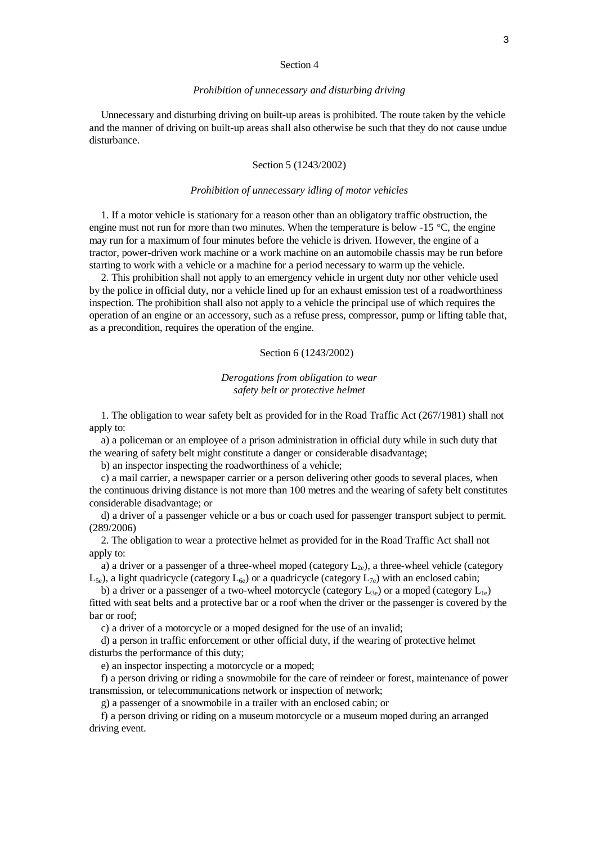#### Section 4

#### *Prohibition of unnecessary and disturbing driving*

 Unnecessary and disturbing driving on built-up areas is prohibited. The route taken by the vehicle and the manner of driving on built-up areas shall also otherwise be such that they do not cause undue disturbance.

## Section 5 (1243/2002)

## *Prohibition of unnecessary idling of motor vehicles*

 1. If a motor vehicle is stationary for a reason other than an obligatory traffic obstruction, the engine must not run for more than two minutes. When the temperature is below  $-15$  °C, the engine may run for a maximum of four minutes before the vehicle is driven. However, the engine of a tractor, power-driven work machine or a work machine on an automobile chassis may be run before starting to work with a vehicle or a machine for a period necessary to warm up the vehicle.

 2. This prohibition shall not apply to an emergency vehicle in urgent duty nor other vehicle used by the police in official duty, nor a vehicle lined up for an exhaust emission test of a roadworthiness inspection. The prohibition shall also not apply to a vehicle the principal use of which requires the operation of an engine or an accessory, such as a refuse press, compressor, pump or lifting table that, as a precondition, requires the operation of the engine.

# Section 6 (1243/2002)

*Derogations from obligation to wear safety belt or protective helmet*

 1. The obligation to wear safety belt as provided for in the Road Traffic Act (267/1981) shall not apply to:

 a) a policeman or an employee of a prison administration in official duty while in such duty that the wearing of safety belt might constitute a danger or considerable disadvantage;

b) an inspector inspecting the roadworthiness of a vehicle;

 c) a mail carrier, a newspaper carrier or a person delivering other goods to several places, when the continuous driving distance is not more than 100 metres and the wearing of safety belt constitutes considerable disadvantage; or

 d) a driver of a passenger vehicle or a bus or coach used for passenger transport subject to permit. (289/2006)

 2. The obligation to wear a protective helmet as provided for in the Road Traffic Act shall not apply to:

a) a driver or a passenger of a three-wheel moped (category  $L_{2e}$ ), a three-wheel vehicle (category  $L_{5e}$ ), a light quadricycle (category  $L_{6e}$ ) or a quadricycle (category  $L_{7e}$ ) with an enclosed cabin;

b) a driver or a passenger of a two-wheel motorcycle (category  $L_{3e}$ ) or a moped (category  $L_{1e}$ ) fitted with seat belts and a protective bar or a roof when the driver or the passenger is covered by the bar or roof;

c) a driver of a motorcycle or a moped designed for the use of an invalid;

 d) a person in traffic enforcement or other official duty, if the wearing of protective helmet disturbs the performance of this duty;

e) an inspector inspecting a motorcycle or a moped;

 f) a person driving or riding a snowmobile for the care of reindeer or forest, maintenance of power transmission, or telecommunications network or inspection of network;

g) a passenger of a snowmobile in a trailer with an enclosed cabin; or

 f) a person driving or riding on a museum motorcycle or a museum moped during an arranged driving event.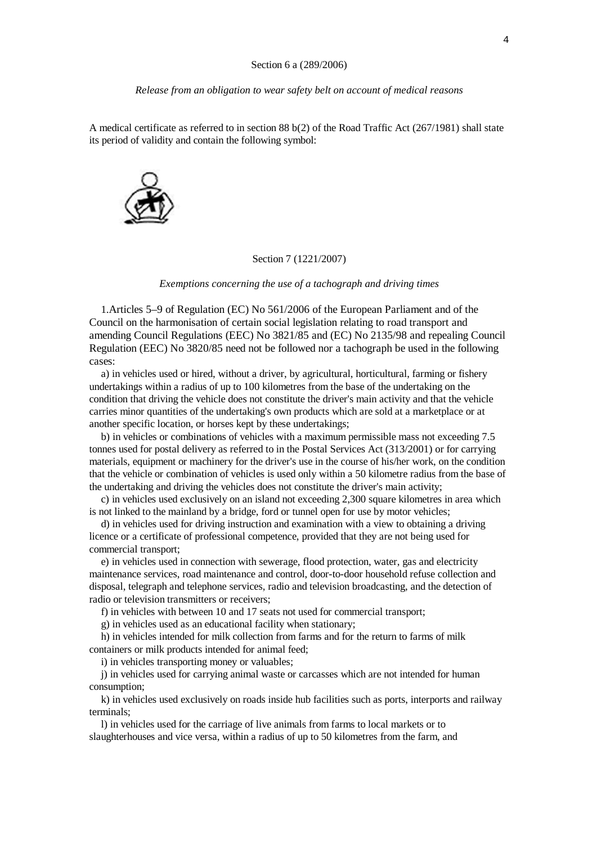*Release from an obligation to wear safety belt on account of medical reasons*

A medical certificate as referred to in section 88 b(2) of the Road Traffic Act (267/1981) shall state its period of validity and contain the following symbol:



## Section 7 (1221/2007)

*Exemptions concerning the use of a tachograph and driving times*

 1.Articles 5–9 of Regulation (EC) No 561/2006 of the European Parliament and of the Council on the harmonisation of certain social legislation relating to road transport and amending Council Regulations (EEC) No 3821/85 and (EC) No 2135/98 and repealing Council Regulation (EEC) No 3820/85 need not be followed nor a tachograph be used in the following cases:

 a) in vehicles used or hired, without a driver, by agricultural, horticultural, farming or fishery undertakings within a radius of up to 100 kilometres from the base of the undertaking on the condition that driving the vehicle does not constitute the driver's main activity and that the vehicle carries minor quantities of the undertaking's own products which are sold at a marketplace or at another specific location, or horses kept by these undertakings;

 b) in vehicles or combinations of vehicles with a maximum permissible mass not exceeding 7.5 tonnes used for postal delivery as referred to in the Postal Services Act (313/2001) or for carrying materials, equipment or machinery for the driver's use in the course of his/her work, on the condition that the vehicle or combination of vehicles is used only within a 50 kilometre radius from the base of the undertaking and driving the vehicles does not constitute the driver's main activity;

 c) in vehicles used exclusively on an island not exceeding 2,300 square kilometres in area which is not linked to the mainland by a bridge, ford or tunnel open for use by motor vehicles;

 d) in vehicles used for driving instruction and examination with a view to obtaining a driving licence or a certificate of professional competence, provided that they are not being used for commercial transport;

 e) in vehicles used in connection with sewerage, flood protection, water, gas and electricity maintenance services, road maintenance and control, door-to-door household refuse collection and disposal, telegraph and telephone services, radio and television broadcasting, and the detection of radio or television transmitters or receivers;

f) in vehicles with between 10 and 17 seats not used for commercial transport;

g) in vehicles used as an educational facility when stationary;

 h) in vehicles intended for milk collection from farms and for the return to farms of milk containers or milk products intended for animal feed;

i) in vehicles transporting money or valuables;

 j) in vehicles used for carrying animal waste or carcasses which are not intended for human consumption;

 k) in vehicles used exclusively on roads inside hub facilities such as ports, interports and railway terminals;

 l) in vehicles used for the carriage of live animals from farms to local markets or to slaughterhouses and vice versa, within a radius of up to 50 kilometres from the farm, and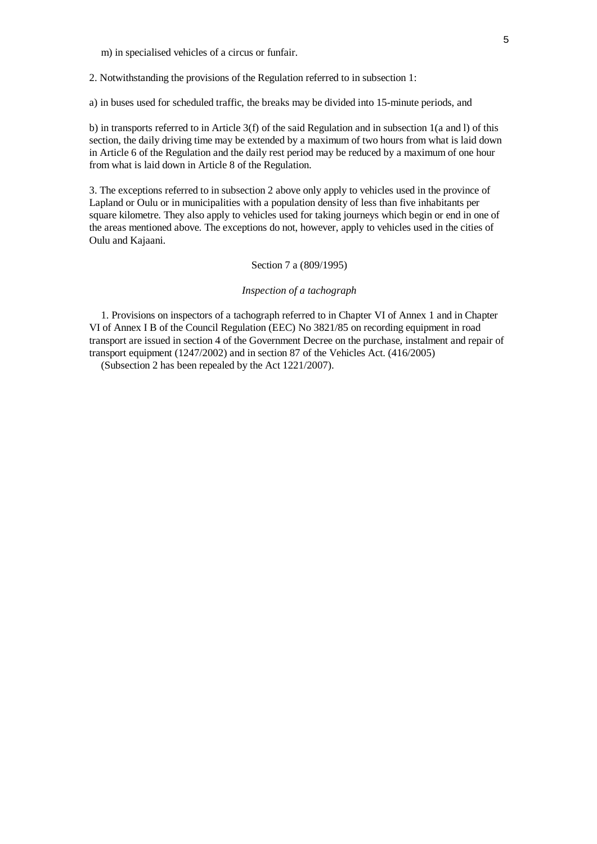m) in specialised vehicles of a circus or funfair.

2. Notwithstanding the provisions of the Regulation referred to in subsection 1:

a) in buses used for scheduled traffic, the breaks may be divided into 15-minute periods, and

b) in transports referred to in Article 3(f) of the said Regulation and in subsection 1(a and l) of this section, the daily driving time may be extended by a maximum of two hours from what is laid down in Article 6 of the Regulation and the daily rest period may be reduced by a maximum of one hour from what is laid down in Article 8 of the Regulation.

3. The exceptions referred to in subsection 2 above only apply to vehicles used in the province of Lapland or Oulu or in municipalities with a population density of less than five inhabitants per square kilometre. They also apply to vehicles used for taking journeys which begin or end in one of the areas mentioned above. The exceptions do not, however, apply to vehicles used in the cities of Oulu and Kajaani.

# Section 7 a (809/1995)

### *Inspection of a tachograph*

 1. Provisions on inspectors of a tachograph referred to in Chapter VI of Annex 1 and in Chapter VI of Annex I B of the Council Regulation (EEC) No 3821/85 on recording equipment in road transport are issued in section 4 of the Government Decree on the purchase, instalment and repair of transport equipment (1247/2002) and in section 87 of the Vehicles Act. (416/2005)

(Subsection 2 has been repealed by the Act 1221/2007).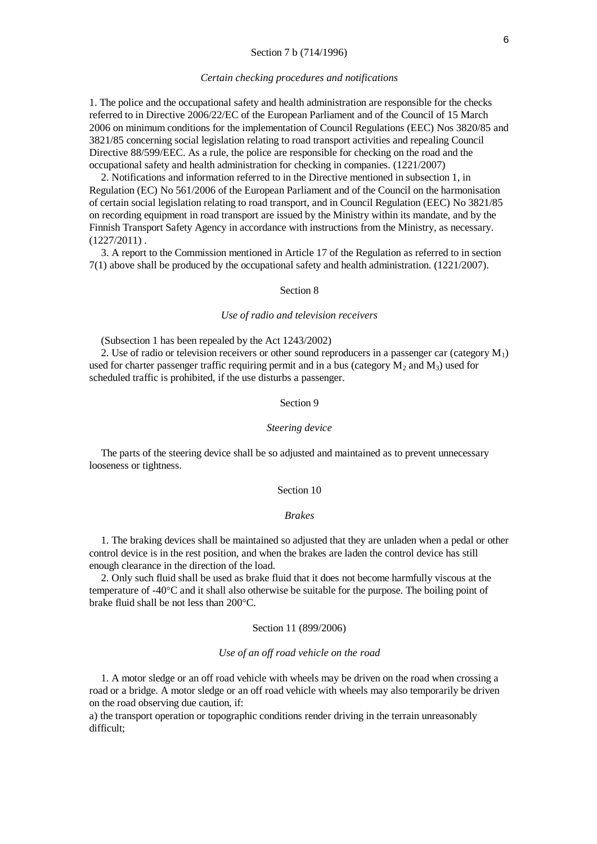### Section 7 b (714/1996)

#### *Certain checking procedures and notifications*

1. The police and the occupational safety and health administration are responsible for the checks referred to in Directive 2006/22/EC of the European Parliament and of the Council of 15 March 2006 on minimum conditions for the implementation of Council Regulations (EEC) Nos 3820/85 and 3821/85 concerning social legislation relating to road transport activities and repealing Council Directive 88/599/EEC. As a rule, the police are responsible for checking on the road and the occupational safety and health administration for checking in companies. (1221/2007)

 2. Notifications and information referred to in the Directive mentioned in subsection 1, in Regulation (EC) No 561/2006 of the European Parliament and of the Council on the harmonisation of certain social legislation relating to road transport, and in Council Regulation (EEC) No 3821/85 on recording equipment in road transport are issued by the Ministry within its mandate, and by the Finnish Transport Safety Agency in accordance with instructions from the Ministry, as necessary.  $(1227/2011)$ .

 3. A report to the Commission mentioned in Article 17 of the Regulation as referred to in section 7(1) above shall be produced by the occupational safety and health administration. (1221/2007).

## Section 8

### *Use of radio and television receivers*

(Subsection 1 has been repealed by the Act 1243/2002)

2. Use of radio or television receivers or other sound reproducers in a passenger car (category  $M_1$ ) used for charter passenger traffic requiring permit and in a bus (category  $M_2$  and  $M_3$ ) used for scheduled traffic is prohibited, if the use disturbs a passenger.

# Section 9

### *Steering device*

 The parts of the steering device shall be so adjusted and maintained as to prevent unnecessary looseness or tightness.

## Section 10

#### *Brakes*

 1. The braking devices shall be maintained so adjusted that they are unladen when a pedal or other control device is in the rest position, and when the brakes are laden the control device has still enough clearance in the direction of the load.

 2. Only such fluid shall be used as brake fluid that it does not become harmfully viscous at the temperature of  $-40^{\circ}\text{C}$  and it shall also otherwise be suitable for the purpose. The boiling point of brake fluid shall be not less than  $200^{\circ}$ C.

#### Section 11 (899/2006)

## *Use of an off road vehicle on the road*

 1. A motor sledge or an off road vehicle with wheels may be driven on the road when crossing a road or a bridge. A motor sledge or an off road vehicle with wheels may also temporarily be driven on the road observing due caution, if:

a) the transport operation or topographic conditions render driving in the terrain unreasonably difficult;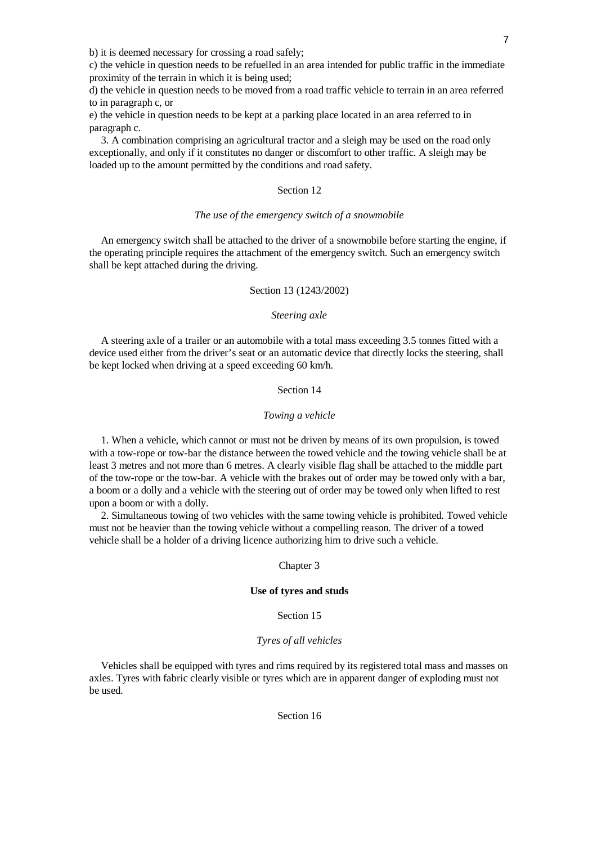b) it is deemed necessary for crossing a road safely;

c) the vehicle in question needs to be refuelled in an area intended for public traffic in the immediate proximity of the terrain in which it is being used;

d) the vehicle in question needs to be moved from a road traffic vehicle to terrain in an area referred to in paragraph c, or

e) the vehicle in question needs to be kept at a parking place located in an area referred to in paragraph c.

 3. A combination comprising an agricultural tractor and a sleigh may be used on the road only exceptionally, and only if it constitutes no danger or discomfort to other traffic. A sleigh may be loaded up to the amount permitted by the conditions and road safety.

# Section 12

## *The use of the emergency switch of a snowmobile*

 An emergency switch shall be attached to the driver of a snowmobile before starting the engine, if the operating principle requires the attachment of the emergency switch. Such an emergency switch shall be kept attached during the driving.

## Section 13 (1243/2002)

#### *Steering axle*

 A steering axle of a trailer or an automobile with a total mass exceeding 3.5 tonnes fitted with a device used either from the driver's seat or an automatic device that directly locks the steering, shall be kept locked when driving at a speed exceeding 60 km/h.

## Section 14

#### *Towing a vehicle*

 1. When a vehicle, which cannot or must not be driven by means of its own propulsion, is towed with a tow-rope or tow-bar the distance between the towed vehicle and the towing vehicle shall be at least 3 metres and not more than 6 metres. A clearly visible flag shall be attached to the middle part of the tow-rope or the tow-bar. A vehicle with the brakes out of order may be towed only with a bar, a boom or a dolly and a vehicle with the steering out of order may be towed only when lifted to rest upon a boom or with a dolly.

 2. Simultaneous towing of two vehicles with the same towing vehicle is prohibited. Towed vehicle must not be heavier than the towing vehicle without a compelling reason. The driver of a towed vehicle shall be a holder of a driving licence authorizing him to drive such a vehicle.

## Chapter 3

## **Use of tyres and studs**

Section 15

## *Tyres of all vehicles*

 Vehicles shall be equipped with tyres and rims required by its registered total mass and masses on axles. Tyres with fabric clearly visible or tyres which are in apparent danger of exploding must not be used.

Section 16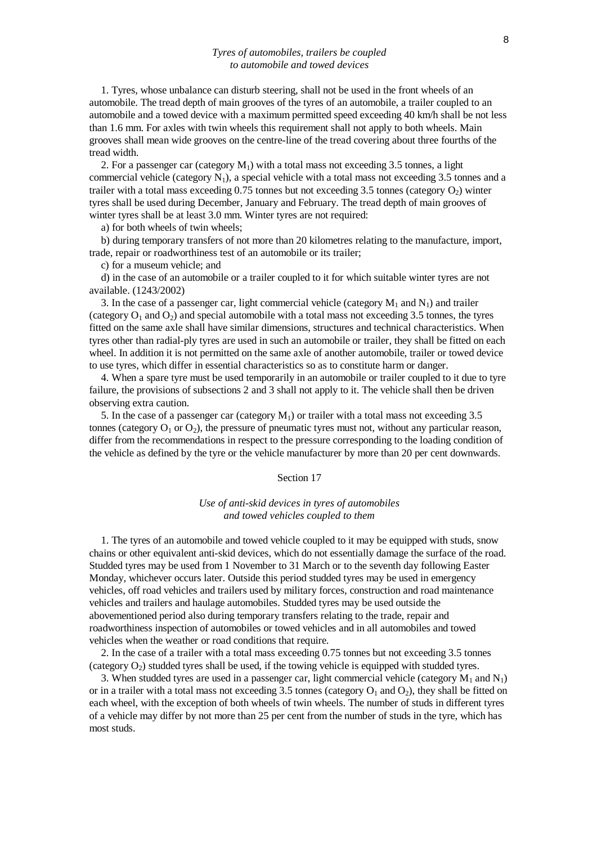## *Tyres of automobiles, trailers be coupled to automobile and towed devices*

 1. Tyres, whose unbalance can disturb steering, shall not be used in the front wheels of an automobile. The tread depth of main grooves of the tyres of an automobile, a trailer coupled to an automobile and a towed device with a maximum permitted speed exceeding 40 km/h shall be not less than 1.6 mm. For axles with twin wheels this requirement shall not apply to both wheels. Main grooves shall mean wide grooves on the centre-line of the tread covering about three fourths of the tread width.

2. For a passenger car (category  $M_1$ ) with a total mass not exceeding 3.5 tonnes, a light commercial vehicle (category  $N_1$ ), a special vehicle with a total mass not exceeding 3.5 tonnes and a trailer with a total mass exceeding  $0.75$  tonnes but not exceeding 3.5 tonnes (category  $O_2$ ) winter tyres shall be used during December, January and February. The tread depth of main grooves of winter tyres shall be at least 3.0 mm. Winter tyres are not required:

a) for both wheels of twin wheels;

 b) during temporary transfers of not more than 20 kilometres relating to the manufacture, import, trade, repair or roadworthiness test of an automobile or its trailer;

c) for a museum vehicle; and

 d) in the case of an automobile or a trailer coupled to it for which suitable winter tyres are not available. (1243/2002)

3. In the case of a passenger car, light commercial vehicle (category  $M_1$  and  $N_1$ ) and trailer (category  $O_1$  and  $O_2$ ) and special automobile with a total mass not exceeding 3.5 tonnes, the tyres fitted on the same axle shall have similar dimensions, structures and technical characteristics. When tyres other than radial-ply tyres are used in such an automobile or trailer, they shall be fitted on each wheel. In addition it is not permitted on the same axle of another automobile, trailer or towed device to use tyres, which differ in essential characteristics so as to constitute harm or danger.

 4. When a spare tyre must be used temporarily in an automobile or trailer coupled to it due to tyre failure, the provisions of subsections 2 and 3 shall not apply to it. The vehicle shall then be driven observing extra caution.

5. In the case of a passenger car (category  $M_1$ ) or trailer with a total mass not exceeding 3.5 tonnes (category  $O_1$  or  $O_2$ ), the pressure of pneumatic tyres must not, without any particular reason, differ from the recommendations in respect to the pressure corresponding to the loading condition of the vehicle as defined by the tyre or the vehicle manufacturer by more than 20 per cent downwards.

#### Section 17

## *Use of anti-skid devices in tyres of automobiles and towed vehicles coupled to them*

 1. The tyres of an automobile and towed vehicle coupled to it may be equipped with studs, snow chains or other equivalent anti-skid devices, which do not essentially damage the surface of the road. Studded tyres may be used from 1 November to 31 March or to the seventh day following Easter Monday, whichever occurs later. Outside this period studded tyres may be used in emergency vehicles, off road vehicles and trailers used by military forces, construction and road maintenance vehicles and trailers and haulage automobiles. Studded tyres may be used outside the abovementioned period also during temporary transfers relating to the trade, repair and roadworthiness inspection of automobiles or towed vehicles and in all automobiles and towed vehicles when the weather or road conditions that require.

 2. In the case of a trailer with a total mass exceeding 0.75 tonnes but not exceeding 3.5 tonnes (category  $O_2$ ) studded tyres shall be used, if the towing vehicle is equipped with studded tyres.

3. When studded tyres are used in a passenger car, light commercial vehicle (category  $M_1$  and  $N_1$ ) or in a trailer with a total mass not exceeding 3.5 tonnes (category  $O_1$  and  $O_2$ ), they shall be fitted on each wheel, with the exception of both wheels of twin wheels. The number of studs in different tyres of a vehicle may differ by not more than 25 per cent from the number of studs in the tyre, which has most studs.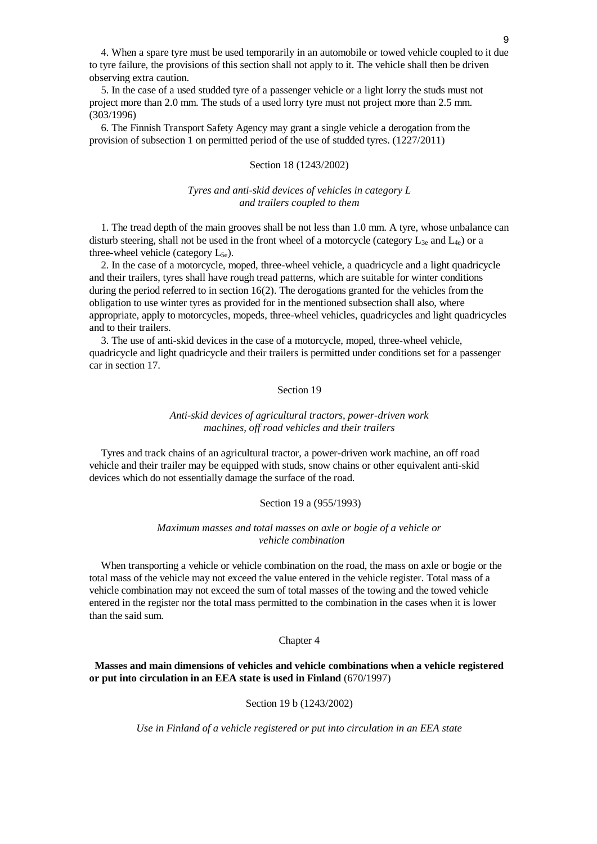4. When a spare tyre must be used temporarily in an automobile or towed vehicle coupled to it due to tyre failure, the provisions of this section shall not apply to it. The vehicle shall then be driven observing extra caution.

 5. In the case of a used studded tyre of a passenger vehicle or a light lorry the studs must not project more than 2.0 mm. The studs of a used lorry tyre must not project more than 2.5 mm. (303/1996)

 6. The Finnish Transport Safety Agency may grant a single vehicle a derogation from the provision of subsection 1 on permitted period of the use of studded tyres. (1227/2011)

#### Section 18 (1243/2002)

# *Tyres and anti-skid devices of vehicles in category L and trailers coupled to them*

 1. The tread depth of the main grooves shall be not less than 1.0 mm. A tyre, whose unbalance can disturb steering, shall not be used in the front wheel of a motorcycle (category  $L_{3e}$  and  $L_{4e}$ ) or a three-wheel vehicle (category  $L_{5e}$ ).

 2. In the case of a motorcycle, moped, three-wheel vehicle, a quadricycle and a light quadricycle and their trailers, tyres shall have rough tread patterns, which are suitable for winter conditions during the period referred to in section 16(2). The derogations granted for the vehicles from the obligation to use winter tyres as provided for in the mentioned subsection shall also, where appropriate, apply to motorcycles, mopeds, three-wheel vehicles, quadricycles and light quadricycles and to their trailers.

 3. The use of anti-skid devices in the case of a motorcycle, moped, three-wheel vehicle, quadricycle and light quadricycle and their trailers is permitted under conditions set for a passenger car in section 17.

# Section 19

## *Anti-skid devices of agricultural tractors, power-driven work machines, off road vehicles and their trailers*

 Tyres and track chains of an agricultural tractor, a power-driven work machine, an off road vehicle and their trailer may be equipped with studs, snow chains or other equivalent anti-skid devices which do not essentially damage the surface of the road.

#### Section 19 a (955/1993)

## *Maximum masses and total masses on axle or bogie of a vehicle or vehicle combination*

 When transporting a vehicle or vehicle combination on the road, the mass on axle or bogie or the total mass of the vehicle may not exceed the value entered in the vehicle register. Total mass of a vehicle combination may not exceed the sum of total masses of the towing and the towed vehicle entered in the register nor the total mass permitted to the combination in the cases when it is lower than the said sum.

Chapter 4

# **Masses and main dimensions of vehicles and vehicle combinations when a vehicle registered or put into circulation in an EEA state is used in Finland** (670/1997)

## Section 19 b (1243/2002)

*Use in Finland of a vehicle registered or put into circulation in an EEA state*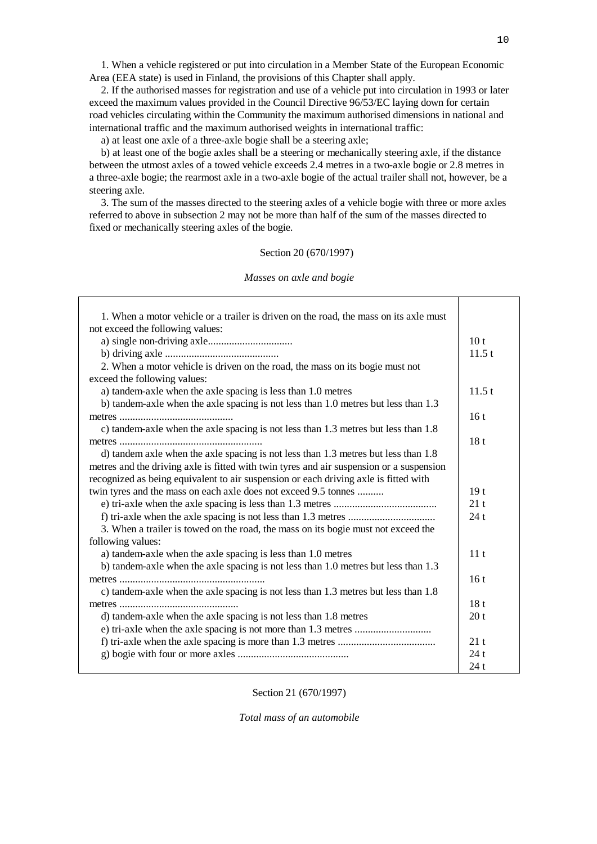1. When a vehicle registered or put into circulation in a Member State of the European Economic Area (EEA state) is used in Finland, the provisions of this Chapter shall apply.

 2. If the authorised masses for registration and use of a vehicle put into circulation in 1993 or later exceed the maximum values provided in the Council Directive 96/53/EC laying down for certain road vehicles circulating within the Community the maximum authorised dimensions in national and international traffic and the maximum authorised weights in international traffic:

a) at least one axle of a three-axle bogie shall be a steering axle;

 b) at least one of the bogie axles shall be a steering or mechanically steering axle, if the distance between the utmost axles of a towed vehicle exceeds 2.4 metres in a two-axle bogie or 2.8 metres in a three-axle bogie; the rearmost axle in a two-axle bogie of the actual trailer shall not, however, be a steering axle.

 3. The sum of the masses directed to the steering axles of a vehicle bogie with three or more axles referred to above in subsection 2 may not be more than half of the sum of the masses directed to fixed or mechanically steering axles of the bogie.

### Section 20 (670/1997)

#### *Masses on axle and bogie*

| 1. When a motor vehicle or a trailer is driven on the road, the mass on its axle must    |                 |
|------------------------------------------------------------------------------------------|-----------------|
| not exceed the following values:                                                         |                 |
|                                                                                          | 10 <sub>t</sub> |
|                                                                                          | 11.5 t          |
| 2. When a motor vehicle is driven on the road, the mass on its bogie must not            |                 |
| exceed the following values:                                                             |                 |
| a) tandem-axle when the axle spacing is less than 1.0 metres                             | 11.5 t          |
| b) tandem-axle when the axle spacing is not less than 1.0 metres but less than 1.3       |                 |
|                                                                                          | 16t             |
| c) tandem-axle when the axle spacing is not less than 1.3 metres but less than 1.8       |                 |
|                                                                                          | 18 <sub>t</sub> |
| d) tandem axle when the axle spacing is not less than 1.3 metres but less than 1.8       |                 |
| metres and the driving axle is fitted with twin tyres and air suspension or a suspension |                 |
| recognized as being equivalent to air suspension or each driving axle is fitted with     |                 |
| twin tyres and the mass on each axle does not exceed 9.5 tonnes                          | 19 <sub>t</sub> |
|                                                                                          | 21t             |
|                                                                                          | 24t             |
| 3. When a trailer is towed on the road, the mass on its bogie must not exceed the        |                 |
| following values:                                                                        |                 |
| a) tandem-axle when the axle spacing is less than 1.0 metres                             | 11 <sub>t</sub> |
| b) tandem-axle when the axle spacing is not less than 1.0 metres but less than 1.3       |                 |
|                                                                                          | 16t             |
| c) tandem-axle when the axle spacing is not less than 1.3 metres but less than 1.8       |                 |
|                                                                                          | 18t             |
| d) tandem-axle when the axle spacing is not less than 1.8 metres                         | 20 <sub>t</sub> |
|                                                                                          |                 |
|                                                                                          | 21t             |
|                                                                                          | 24t             |
|                                                                                          | 24t             |
|                                                                                          |                 |

Section 21 (670/1997)

*Total mass of an automobile*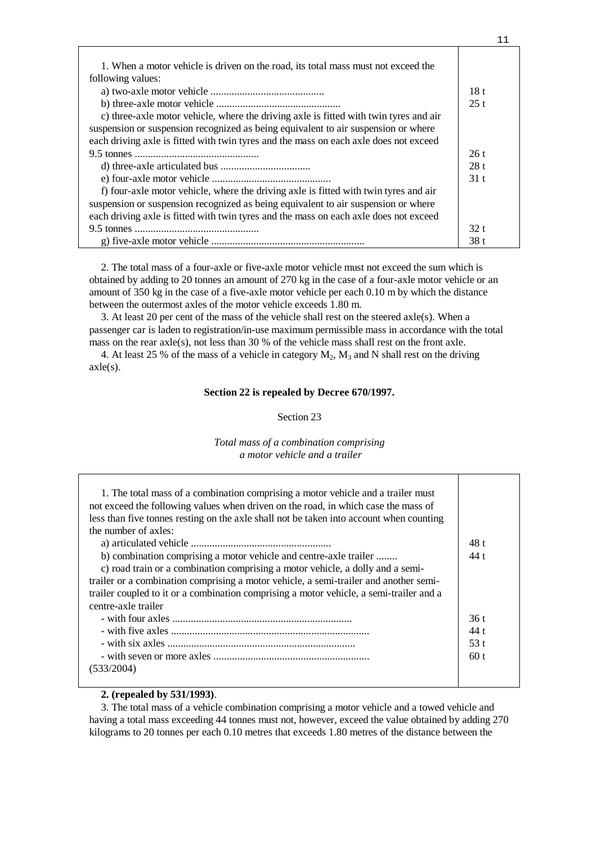| 1. When a motor vehicle is driven on the road, its total mass must not exceed the     |      |
|---------------------------------------------------------------------------------------|------|
| following values:                                                                     |      |
|                                                                                       | 18t  |
|                                                                                       | 25t  |
| c) three-axle motor vehicle, where the driving axle is fitted with twin tyres and air |      |
| suspension or suspension recognized as being equivalent to air suspension or where    |      |
| each driving axle is fitted with twin tyres and the mass on each axle does not exceed |      |
|                                                                                       | 26t  |
|                                                                                       | 28t  |
|                                                                                       | 31t  |
| f) four-axle motor vehicle, where the driving axle is fitted with twin tyres and air  |      |
| suspension or suspension recognized as being equivalent to air suspension or where    |      |
| each driving axle is fitted with twin tyres and the mass on each axle does not exceed |      |
|                                                                                       | 32t  |
|                                                                                       | 38 t |

 2. The total mass of a four-axle or five-axle motor vehicle must not exceed the sum which is obtained by adding to 20 tonnes an amount of 270 kg in the case of a four-axle motor vehicle or an amount of 350 kg in the case of a five-axle motor vehicle per each 0.10 m by which the distance between the outermost axles of the motor vehicle exceeds 1.80 m.

 3. At least 20 per cent of the mass of the vehicle shall rest on the steered axle(s). When a passenger car is laden to registration/in-use maximum permissible mass in accordance with the total mass on the rear axle(s), not less than 30 % of the vehicle mass shall rest on the front axle.

4. At least 25 % of the mass of a vehicle in category  $M_2$ ,  $M_3$  and N shall rest on the driving  $axle(s)$ .

# **Section 22 is repealed by Decree 670/1997.**

## Section 23

# *Total mass of a combination comprising a motor vehicle and a trailer*

| 1. The total mass of a combination comprising a motor vehicle and a trailer must<br>not exceed the following values when driven on the road, in which case the mass of<br>less than five tonnes resting on the axle shall not be taken into account when counting<br>the number of axles:<br>b) combination comprising a motor vehicle and centre-axle trailer<br>c) road train or a combination comprising a motor vehicle, a dolly and a semi-<br>trailer or a combination comprising a motor vehicle, a semi-trailer and another semi-<br>trailer coupled to it or a combination comprising a motor vehicle, a semi-trailer and a | 48 t<br>44 t |
|--------------------------------------------------------------------------------------------------------------------------------------------------------------------------------------------------------------------------------------------------------------------------------------------------------------------------------------------------------------------------------------------------------------------------------------------------------------------------------------------------------------------------------------------------------------------------------------------------------------------------------------|--------------|
| centre-axle trailer                                                                                                                                                                                                                                                                                                                                                                                                                                                                                                                                                                                                                  | 36 t         |
|                                                                                                                                                                                                                                                                                                                                                                                                                                                                                                                                                                                                                                      | 44t          |
|                                                                                                                                                                                                                                                                                                                                                                                                                                                                                                                                                                                                                                      | 53 t         |
|                                                                                                                                                                                                                                                                                                                                                                                                                                                                                                                                                                                                                                      | 60t          |
| (533/2004)                                                                                                                                                                                                                                                                                                                                                                                                                                                                                                                                                                                                                           |              |
|                                                                                                                                                                                                                                                                                                                                                                                                                                                                                                                                                                                                                                      |              |

# **2. (repealed by 531/1993)**.

 3. The total mass of a vehicle combination comprising a motor vehicle and a towed vehicle and having a total mass exceeding 44 tonnes must not, however, exceed the value obtained by adding 270 kilograms to 20 tonnes per each 0.10 metres that exceeds 1.80 metres of the distance between the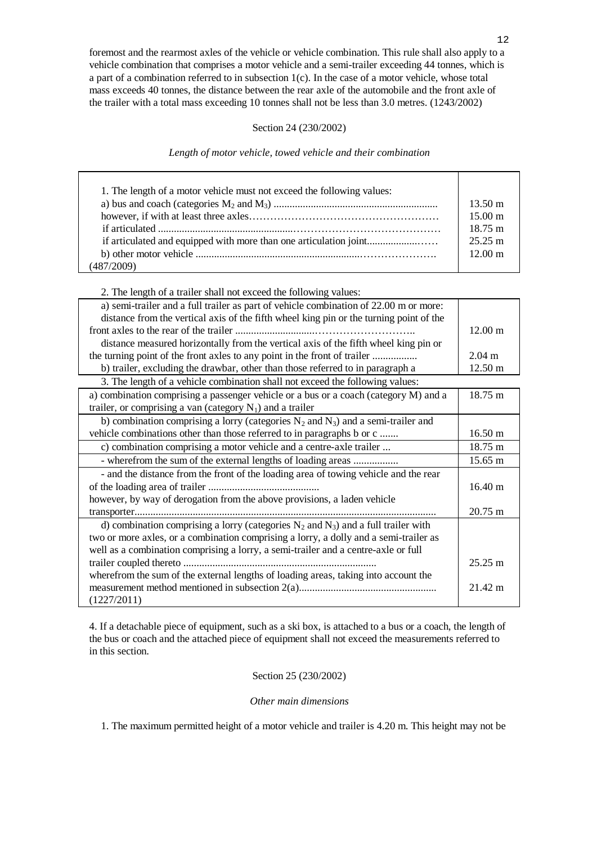foremost and the rearmost axles of the vehicle or vehicle combination. This rule shall also apply to a vehicle combination that comprises a motor vehicle and a semi-trailer exceeding 44 tonnes, which is a part of a combination referred to in subsection 1(c). In the case of a motor vehicle, whose total mass exceeds 40 tonnes, the distance between the rear axle of the automobile and the front axle of the trailer with a total mass exceeding 10 tonnes shall not be less than 3.0 metres. (1243/2002)

# Section 24 (230/2002)

*Length of motor vehicle, towed vehicle and their combination*

| 1. The length of a motor vehicle must not exceed the following values: | $13.50 \text{ m}$<br>$15.00 \text{ m}$<br>$18.75 \text{ m}$<br>$25.25 \text{ m}$<br>$12.00 \text{ m}$ |
|------------------------------------------------------------------------|-------------------------------------------------------------------------------------------------------|
| (487/2009)                                                             |                                                                                                       |

2. The length of a trailer shall not exceed the following values:

| a) semi-trailer and a full trailer as part of vehicle combination of 22.00 m or more:   |                   |
|-----------------------------------------------------------------------------------------|-------------------|
| distance from the vertical axis of the fifth wheel king pin or the turning point of the |                   |
|                                                                                         | $12.00 \text{ m}$ |
| distance measured horizontally from the vertical axis of the fifth wheel king pin or    |                   |
| the turning point of the front axles to any point in the front of trailer               | $2.04 \text{ m}$  |
| b) trailer, excluding the drawbar, other than those referred to in paragraph a          | $12.50 \text{ m}$ |
| 3. The length of a vehicle combination shall not exceed the following values:           |                   |

| a) combination comprising a passenger vehicle or a bus or a coach (category M) and a<br>trailer, or comprising a van (category $N_1$ ) and a trailer | 18.75 m           |
|------------------------------------------------------------------------------------------------------------------------------------------------------|-------------------|
| b) combination comprising a lorry (categories $N_2$ and $N_3$ ) and a semi-trailer and                                                               |                   |
| vehicle combinations other than those referred to in paragraphs b or c                                                                               | $16.50 \text{ m}$ |
| c) combination comprising a motor vehicle and a centre-axle trailer                                                                                  | 18.75 m           |
| - wherefrom the sum of the external lengths of loading areas                                                                                         | 15.65 m           |
| - and the distance from the front of the loading area of towing vehicle and the rear                                                                 |                   |
|                                                                                                                                                      | $16.40 \text{ m}$ |
| however, by way of derogation from the above provisions, a laden vehicle                                                                             |                   |
|                                                                                                                                                      | 20.75 m           |
| d) combination comprising a lorry (categories $N_2$ and $N_3$ ) and a full trailer with                                                              |                   |
| two or more axles, or a combination comprising a lorry, a dolly and a semi-trailer as                                                                |                   |
| well as a combination comprising a lorry, a semi-trailer and a centre-axle or full                                                                   |                   |
|                                                                                                                                                      | $25.25 \text{ m}$ |
| wherefrom the sum of the external lengths of loading areas, taking into account the                                                                  |                   |
|                                                                                                                                                      | 21.42 m           |
| (1227/2011)                                                                                                                                          |                   |

4. If a detachable piece of equipment, such as a ski box, is attached to a bus or a coach, the length of the bus or coach and the attached piece of equipment shall not exceed the measurements referred to in this section.

# Section 25 (230/2002)

# *Other main dimensions*

1. The maximum permitted height of a motor vehicle and trailer is 4.20 m. This height may not be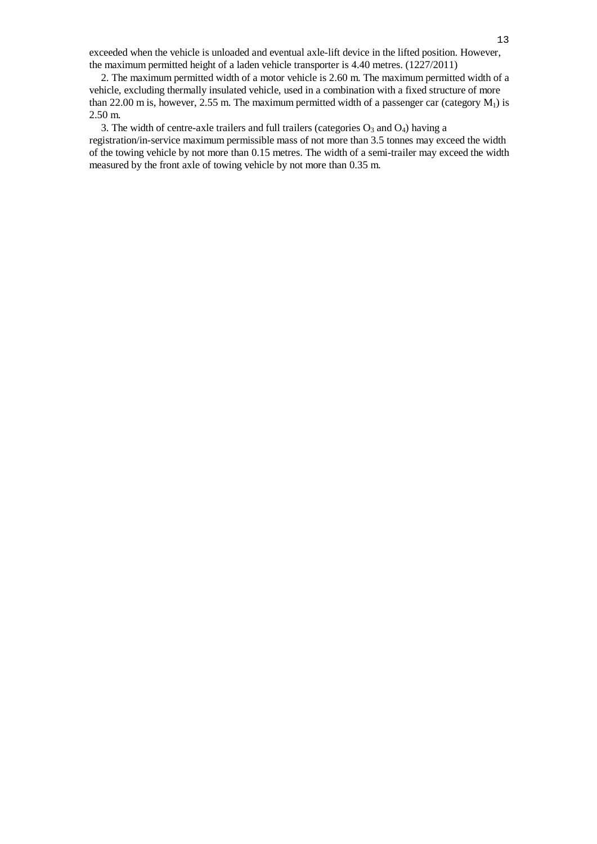exceeded when the vehicle is unloaded and eventual axle-lift device in the lifted position. However, the maximum permitted height of a laden vehicle transporter is 4.40 metres. (1227/2011)

 2. The maximum permitted width of a motor vehicle is 2.60 m. The maximum permitted width of a vehicle, excluding thermally insulated vehicle, used in a combination with a fixed structure of more than 22.00 m is, however, 2.55 m. The maximum permitted width of a passenger car (category  $M_1$ ) is 2.50 m.

3. The width of centre-axle trailers and full trailers (categories  $O_3$  and  $O_4$ ) having a registration/in-service maximum permissible mass of not more than 3.5 tonnes may exceed the width of the towing vehicle by not more than 0.15 metres. The width of a semi-trailer may exceed the width measured by the front axle of towing vehicle by not more than 0.35 m.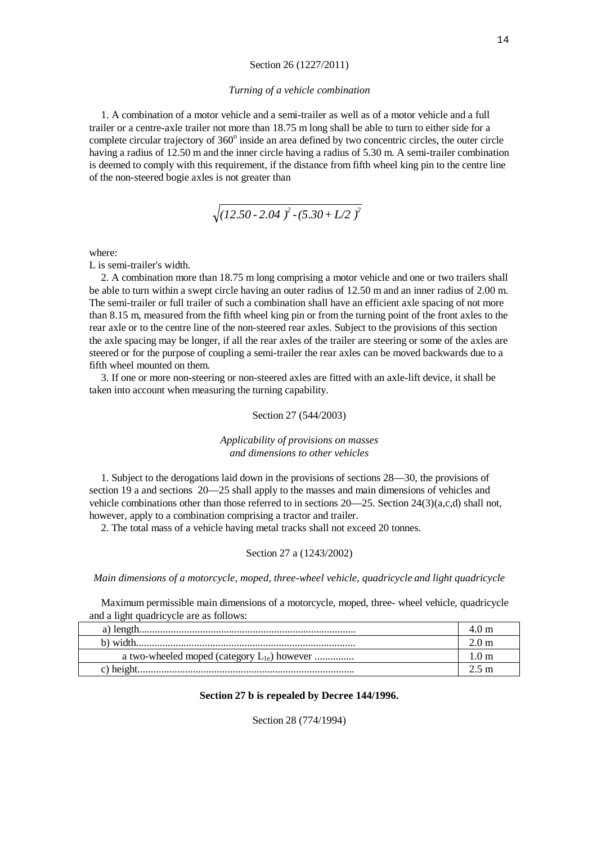#### Section 26 (1227/2011)

#### *Turning of a vehicle combination*

 1. A combination of a motor vehicle and a semi-trailer as well as of a motor vehicle and a full trailer or a centre-axle trailer not more than 18.75 m long shall be able to turn to either side for a complete circular trajectory of 360° inside an area defined by two concentric circles, the outer circle having a radius of 12.50 m and the inner circle having a radius of 5.30 m. A semi-trailer combination is deemed to comply with this requirement, if the distance from fifth wheel king pin to the centre line of the non-steered bogie axles is not greater than

$$
\sqrt{(12.50 - 2.04)^2 - (5.30 + L/2)^2}
$$

where:

L is semi-trailer's width.

 2. A combination more than 18.75 m long comprising a motor vehicle and one or two trailers shall be able to turn within a swept circle having an outer radius of 12.50 m and an inner radius of 2.00 m. The semi-trailer or full trailer of such a combination shall have an efficient axle spacing of not more than 8.15 m, measured from the fifth wheel king pin or from the turning point of the front axles to the rear axle or to the centre line of the non-steered rear axles. Subject to the provisions of this section the axle spacing may be longer, if all the rear axles of the trailer are steering or some of the axles are steered or for the purpose of coupling a semi-trailer the rear axles can be moved backwards due to a fifth wheel mounted on them.

 3. If one or more non-steering or non-steered axles are fitted with an axle-lift device, it shall be taken into account when measuring the turning capability.

## Section 27 (544/2003)

## *Applicability of provisions on masses and dimensions to other vehicles*

 1. Subject to the derogations laid down in the provisions of sections 28—30, the provisions of section 19 a and sections 20—25 shall apply to the masses and main dimensions of vehicles and vehicle combinations other than those referred to in sections 20—25. Section 24(3)(a,c,d) shall not, however, apply to a combination comprising a tractor and trailer.

2. The total mass of a vehicle having metal tracks shall not exceed 20 tonnes.

## Section 27 a (1243/2002)

# *Main dimensions of a motorcycle, moped, three-wheel vehicle, quadricycle and light quadricycle*

 Maximum permissible main dimensions of a motorcycle, moped, three- wheel vehicle, quadricycle and a light quadricycle are as follows:

| b) width                                         |  |
|--------------------------------------------------|--|
| a two-wheeled moped (category $L_{1e}$ ) however |  |
|                                                  |  |

## **Section 27 b is repealed by Decree 144/1996.**

Section 28 (774/1994)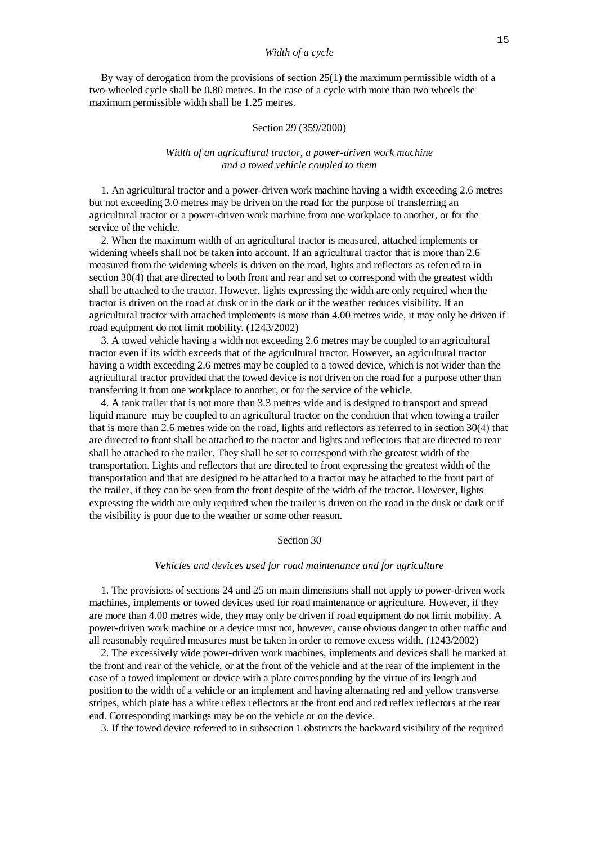By way of derogation from the provisions of section 25(1) the maximum permissible width of a two-wheeled cycle shall be 0.80 metres. In the case of a cycle with more than two wheels the maximum permissible width shall be 1.25 metres.

## Section 29 (359/2000)

## *Width of an agricultural tractor, a power-driven work machine and a towed vehicle coupled to them*

 1. An agricultural tractor and a power-driven work machine having a width exceeding 2.6 metres but not exceeding 3.0 metres may be driven on the road for the purpose of transferring an agricultural tractor or a power-driven work machine from one workplace to another, or for the service of the vehicle.

 2. When the maximum width of an agricultural tractor is measured, attached implements or widening wheels shall not be taken into account. If an agricultural tractor that is more than 2.6 measured from the widening wheels is driven on the road, lights and reflectors as referred to in section 30(4) that are directed to both front and rear and set to correspond with the greatest width shall be attached to the tractor. However, lights expressing the width are only required when the tractor is driven on the road at dusk or in the dark or if the weather reduces visibility. If an agricultural tractor with attached implements is more than 4.00 metres wide, it may only be driven if road equipment do not limit mobility. (1243/2002)

 3. A towed vehicle having a width not exceeding 2.6 metres may be coupled to an agricultural tractor even if its width exceeds that of the agricultural tractor. However, an agricultural tractor having a width exceeding 2.6 metres may be coupled to a towed device, which is not wider than the agricultural tractor provided that the towed device is not driven on the road for a purpose other than transferring it from one workplace to another, or for the service of the vehicle.

 4. A tank trailer that is not more than 3.3 metres wide and is designed to transport and spread liquid manure may be coupled to an agricultural tractor on the condition that when towing a trailer that is more than 2.6 metres wide on the road, lights and reflectors as referred to in section 30(4) that are directed to front shall be attached to the tractor and lights and reflectors that are directed to rear shall be attached to the trailer. They shall be set to correspond with the greatest width of the transportation. Lights and reflectors that are directed to front expressing the greatest width of the transportation and that are designed to be attached to a tractor may be attached to the front part of the trailer, if they can be seen from the front despite of the width of the tractor. However, lights expressing the width are only required when the trailer is driven on the road in the dusk or dark or if the visibility is poor due to the weather or some other reason.

#### Section 30

#### *Vehicles and devices used for road maintenance and for agriculture*

 1. The provisions of sections 24 and 25 on main dimensions shall not apply to power-driven work machines, implements or towed devices used for road maintenance or agriculture. However, if they are more than 4.00 metres wide, they may only be driven if road equipment do not limit mobility. A power-driven work machine or a device must not, however, cause obvious danger to other traffic and all reasonably required measures must be taken in order to remove excess width. (1243/2002)

 2. The excessively wide power-driven work machines, implements and devices shall be marked at the front and rear of the vehicle, or at the front of the vehicle and at the rear of the implement in the case of a towed implement or device with a plate corresponding by the virtue of its length and position to the width of a vehicle or an implement and having alternating red and yellow transverse stripes, which plate has a white reflex reflectors at the front end and red reflex reflectors at the rear end. Corresponding markings may be on the vehicle or on the device.

3. If the towed device referred to in subsection 1 obstructs the backward visibility of the required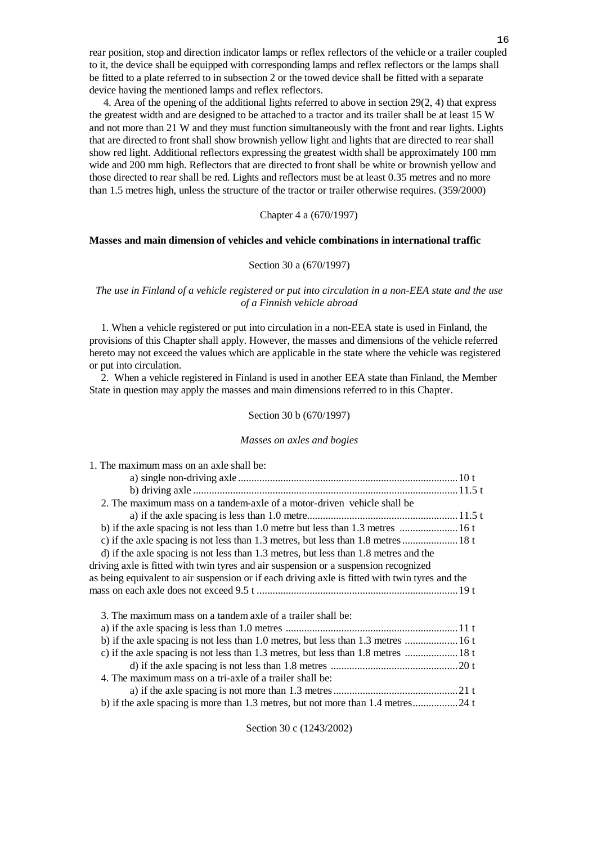rear position, stop and direction indicator lamps or reflex reflectors of the vehicle or a trailer coupled to it, the device shall be equipped with corresponding lamps and reflex reflectors or the lamps shall be fitted to a plate referred to in subsection 2 or the towed device shall be fitted with a separate device having the mentioned lamps and reflex reflectors.

 4. Area of the opening of the additional lights referred to above in section 29(2, 4) that express the greatest width and are designed to be attached to a tractor and its trailer shall be at least 15 W and not more than 21 W and they must function simultaneously with the front and rear lights. Lights that are directed to front shall show brownish yellow light and lights that are directed to rear shall show red light. Additional reflectors expressing the greatest width shall be approximately 100 mm wide and 200 mm high. Reflectors that are directed to front shall be white or brownish yellow and those directed to rear shall be red. Lights and reflectors must be at least 0.35 metres and no more than 1.5 metres high, unless the structure of the tractor or trailer otherwise requires. (359/2000)

# Chapter 4 a (670/1997)

## **Masses and main dimension of vehicles and vehicle combinations in international traffic**

### Section 30 a (670/1997)

# *The use in Finland of a vehicle registered or put into circulation in a non-EEA state and the use of a Finnish vehicle abroad*

 1. When a vehicle registered or put into circulation in a non-EEA state is used in Finland, the provisions of this Chapter shall apply. However, the masses and dimensions of the vehicle referred hereto may not exceed the values which are applicable in the state where the vehicle was registered or put into circulation.

 2. When a vehicle registered in Finland is used in another EEA state than Finland, the Member State in question may apply the masses and main dimensions referred to in this Chapter.

#### Section 30 b (670/1997)

#### *Masses on axles and bogies*

|  | 1. The maximum mass on an axie shall be: |  |  |  |
|--|------------------------------------------|--|--|--|
|  |                                          |  |  |  |

| 2. The maximum mass on a tandem-axle of a motor-driven vehicle shall be                         |  |
|-------------------------------------------------------------------------------------------------|--|
|                                                                                                 |  |
|                                                                                                 |  |
| c) if the axle spacing is not less than 1.3 metres, but less than 1.8 metres  18 t              |  |
| d) if the axle spacing is not less than 1.3 metres, but less than 1.8 metres and the            |  |
| driving axle is fitted with twin tyres and air suspension or a suspension recognized            |  |
| as being equivalent to air suspension or if each driving axle is fitted with twin tyres and the |  |
|                                                                                                 |  |
| 3. The maximum mass on a tandem axle of a trailer shall be:                                     |  |
|                                                                                                 |  |
| b) if the axle spacing is not less than 1.0 metres, but less than 1.3 metres  16 t              |  |
| c) if the axle spacing is not less than 1.3 metres, but less than 1.8 metres  18 t              |  |
|                                                                                                 |  |
| 4. The maximum mass on a tri-axle of a trailer shall be:                                        |  |
|                                                                                                 |  |
| b) if the axle spacing is more than 1.3 metres, but not more than 1.4 metres24 t                |  |

Section 30 c (1243/2002)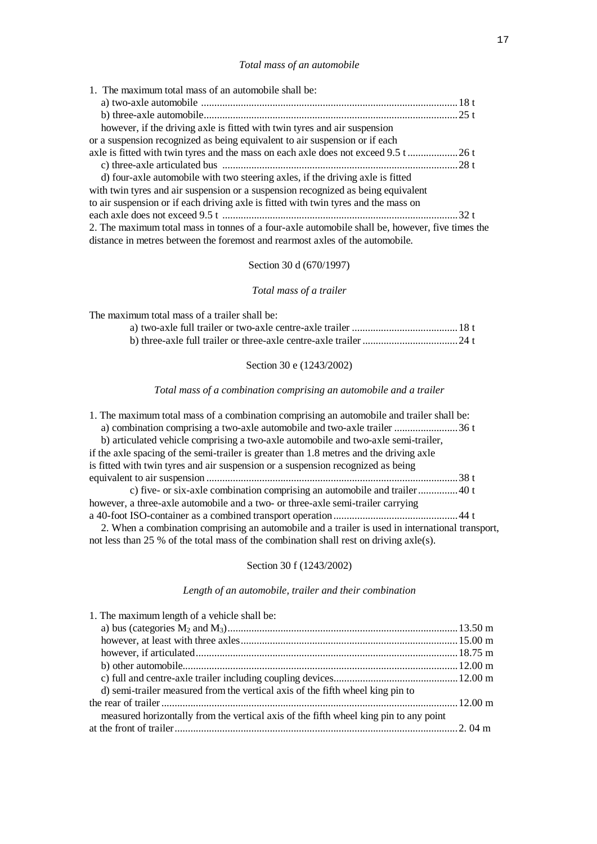# *Total mass of an automobile*

| 1. The maximum total mass of an automobile shall be:                                            |  |
|-------------------------------------------------------------------------------------------------|--|
|                                                                                                 |  |
|                                                                                                 |  |
| however, if the driving axle is fitted with twin tyres and air suspension                       |  |
| or a suspension recognized as being equivalent to air suspension or if each                     |  |
|                                                                                                 |  |
|                                                                                                 |  |
| d) four-axle automobile with two steering axles, if the driving axle is fitted                  |  |
| with twin tyres and air suspension or a suspension recognized as being equivalent               |  |
| to air suspension or if each driving axle is fitted with twin tyres and the mass on             |  |
|                                                                                                 |  |
| 2. The maximum total mass in tonnes of a four-axle automobile shall be, however, five times the |  |
| distance in metres between the foremost and rearmost axles of the automobile.                   |  |

# Section 30 d (670/1997)

# *Total mass of a trailer*

The maximum total mass of a trailer shall be:

# Section 30 e (1243/2002)

# *Total mass of a combination comprising an automobile and a trailer*

| 1. The maximum total mass of a combination comprising an automobile and trailer shall be:        |  |
|--------------------------------------------------------------------------------------------------|--|
| a) combination comprising a two-axle automobile and two-axle trailer 36 t                        |  |
| b) articulated vehicle comprising a two-axle automobile and two-axle semi-trailer,               |  |
| if the axle spacing of the semi-trailer is greater than 1.8 metres and the driving axle          |  |
| is fitted with twin tyres and air suspension or a suspension recognized as being                 |  |
|                                                                                                  |  |
|                                                                                                  |  |
| however, a three-axle automobile and a two- or three-axle semi-trailer carrying                  |  |
|                                                                                                  |  |
| 2. When a combination comprising an automobile and a trailer is used in international transport, |  |
| not less than 25 % of the total mass of the combination shall rest on driving $axle(s)$ .        |  |
|                                                                                                  |  |

# Section 30 f (1243/2002)

# *Length of an automobile, trailer and their combination*

| 1. The maximum length of a vehicle shall be:                                          |  |
|---------------------------------------------------------------------------------------|--|
|                                                                                       |  |
|                                                                                       |  |
|                                                                                       |  |
|                                                                                       |  |
|                                                                                       |  |
| d) semi-trailer measured from the vertical axis of the fifth wheel king pin to        |  |
|                                                                                       |  |
| measured horizontally from the vertical axis of the fifth wheel king pin to any point |  |
|                                                                                       |  |
|                                                                                       |  |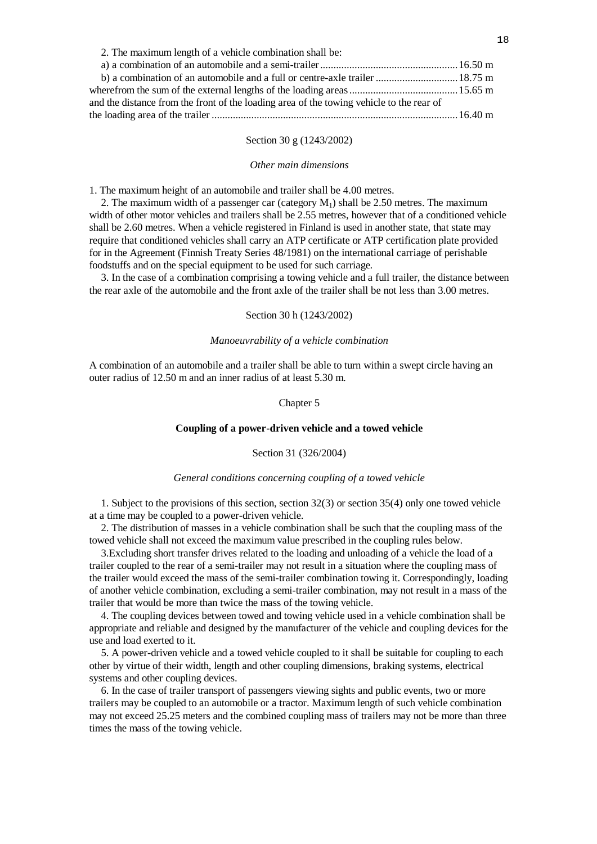| 2. The maximum length of a vehicle combination shall be:                                 |  |
|------------------------------------------------------------------------------------------|--|
|                                                                                          |  |
| b) a combination of an automobile and a full or centre-axle trailer  18.75 m             |  |
|                                                                                          |  |
| and the distance from the front of the loading area of the towing vehicle to the rear of |  |
|                                                                                          |  |

# Section 30 g (1243/2002)

#### *Other main dimensions*

1. The maximum height of an automobile and trailer shall be 4.00 metres.

2. The maximum width of a passenger car (category  $M<sub>1</sub>$ ) shall be 2.50 metres. The maximum width of other motor vehicles and trailers shall be 2.55 metres, however that of a conditioned vehicle shall be 2.60 metres. When a vehicle registered in Finland is used in another state, that state may require that conditioned vehicles shall carry an ATP certificate or ATP certification plate provided for in the Agreement (Finnish Treaty Series 48/1981) on the international carriage of perishable foodstuffs and on the special equipment to be used for such carriage.

 3. In the case of a combination comprising a towing vehicle and a full trailer, the distance between the rear axle of the automobile and the front axle of the trailer shall be not less than 3.00 metres.

## Section 30 h (1243/2002)

#### *Manoeuvrability of a vehicle combination*

A combination of an automobile and a trailer shall be able to turn within a swept circle having an outer radius of 12.50 m and an inner radius of at least 5.30 m.

## Chapter 5

## **Coupling of a power-driven vehicle and a towed vehicle**

#### Section 31 (326/2004)

## *General conditions concerning coupling of a towed vehicle*

 1. Subject to the provisions of this section, section 32(3) or section 35(4) only one towed vehicle at a time may be coupled to a power-driven vehicle.

 2. The distribution of masses in a vehicle combination shall be such that the coupling mass of the towed vehicle shall not exceed the maximum value prescribed in the coupling rules below.

 3.Excluding short transfer drives related to the loading and unloading of a vehicle the load of a trailer coupled to the rear of a semi-trailer may not result in a situation where the coupling mass of the trailer would exceed the mass of the semi-trailer combination towing it. Correspondingly, loading of another vehicle combination, excluding a semi-trailer combination, may not result in a mass of the trailer that would be more than twice the mass of the towing vehicle.

 4. The coupling devices between towed and towing vehicle used in a vehicle combination shall be appropriate and reliable and designed by the manufacturer of the vehicle and coupling devices for the use and load exerted to it.

 5. A power-driven vehicle and a towed vehicle coupled to it shall be suitable for coupling to each other by virtue of their width, length and other coupling dimensions, braking systems, electrical systems and other coupling devices.

 6. In the case of trailer transport of passengers viewing sights and public events, two or more trailers may be coupled to an automobile or a tractor. Maximum length of such vehicle combination may not exceed 25.25 meters and the combined coupling mass of trailers may not be more than three times the mass of the towing vehicle.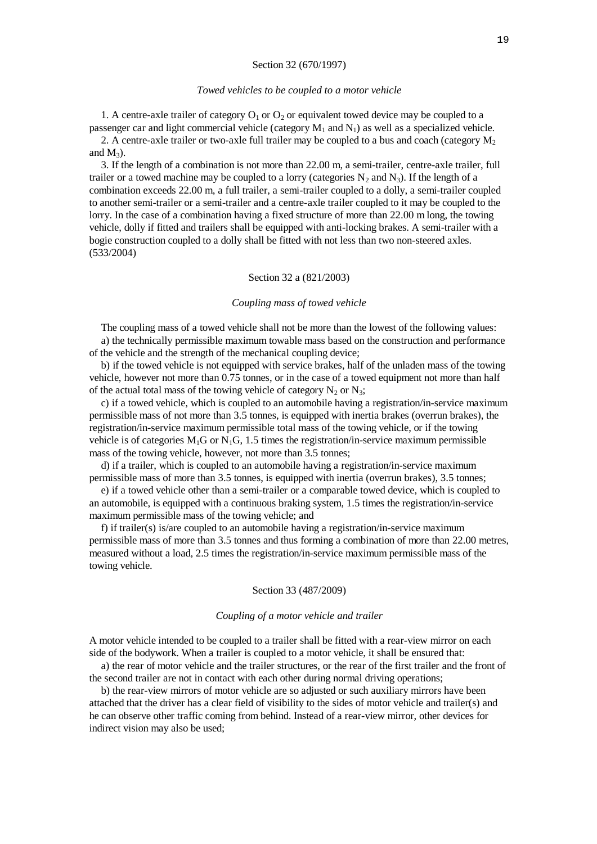#### Section 32 (670/1997)

#### *Towed vehicles to be coupled to a motor vehicle*

1. A centre-axle trailer of category  $O_1$  or  $O_2$  or equivalent towed device may be coupled to a passenger car and light commercial vehicle (category  $M_1$  and  $N_1$ ) as well as a specialized vehicle.

2. A centre-axle trailer or two-axle full trailer may be coupled to a bus and coach (category  $M_2$ ) and  $M_3$ ).

 3. If the length of a combination is not more than 22.00 m, a semi-trailer, centre-axle trailer, full trailer or a towed machine may be coupled to a lorry (categories  $N_2$  and  $N_3$ ). If the length of a combination exceeds 22.00 m, a full trailer, a semi-trailer coupled to a dolly, a semi-trailer coupled to another semi-trailer or a semi-trailer and a centre-axle trailer coupled to it may be coupled to the lorry. In the case of a combination having a fixed structure of more than 22.00 m long, the towing vehicle, dolly if fitted and trailers shall be equipped with anti-locking brakes. A semi-trailer with a bogie construction coupled to a dolly shall be fitted with not less than two non-steered axles. (533/2004)

#### Section 32 a (821/2003)

#### *Coupling mass of towed vehicle*

 The coupling mass of a towed vehicle shall not be more than the lowest of the following values: a) the technically permissible maximum towable mass based on the construction and performance of the vehicle and the strength of the mechanical coupling device;

 b) if the towed vehicle is not equipped with service brakes, half of the unladen mass of the towing vehicle, however not more than 0.75 tonnes, or in the case of a towed equipment not more than half of the actual total mass of the towing vehicle of category  $N_2$  or  $N_3$ ;

 c) if a towed vehicle, which is coupled to an automobile having a registration/in-service maximum permissible mass of not more than 3.5 tonnes, is equipped with inertia brakes (overrun brakes), the registration/in-service maximum permissible total mass of the towing vehicle, or if the towing vehicle is of categories  $M_1G$  or  $N_1G$ , 1.5 times the registration/in-service maximum permissible mass of the towing vehicle, however, not more than 3.5 tonnes;

 d) if a trailer, which is coupled to an automobile having a registration/in-service maximum permissible mass of more than 3.5 tonnes, is equipped with inertia (overrun brakes), 3.5 tonnes;

 e) if a towed vehicle other than a semi-trailer or a comparable towed device, which is coupled to an automobile, is equipped with a continuous braking system, 1.5 times the registration/in-service maximum permissible mass of the towing vehicle; and

 f) if trailer(s) is/are coupled to an automobile having a registration/in-service maximum permissible mass of more than 3.5 tonnes and thus forming a combination of more than 22.00 metres, measured without a load, 2.5 times the registration/in-service maximum permissible mass of the towing vehicle.

#### Section 33 (487/2009)

#### *Coupling of a motor vehicle and trailer*

A motor vehicle intended to be coupled to a trailer shall be fitted with a rear-view mirror on each side of the bodywork. When a trailer is coupled to a motor vehicle, it shall be ensured that:

 a) the rear of motor vehicle and the trailer structures, or the rear of the first trailer and the front of the second trailer are not in contact with each other during normal driving operations;

 b) the rear-view mirrors of motor vehicle are so adjusted or such auxiliary mirrors have been attached that the driver has a clear field of visibility to the sides of motor vehicle and trailer(s) and he can observe other traffic coming from behind. Instead of a rear-view mirror, other devices for indirect vision may also be used;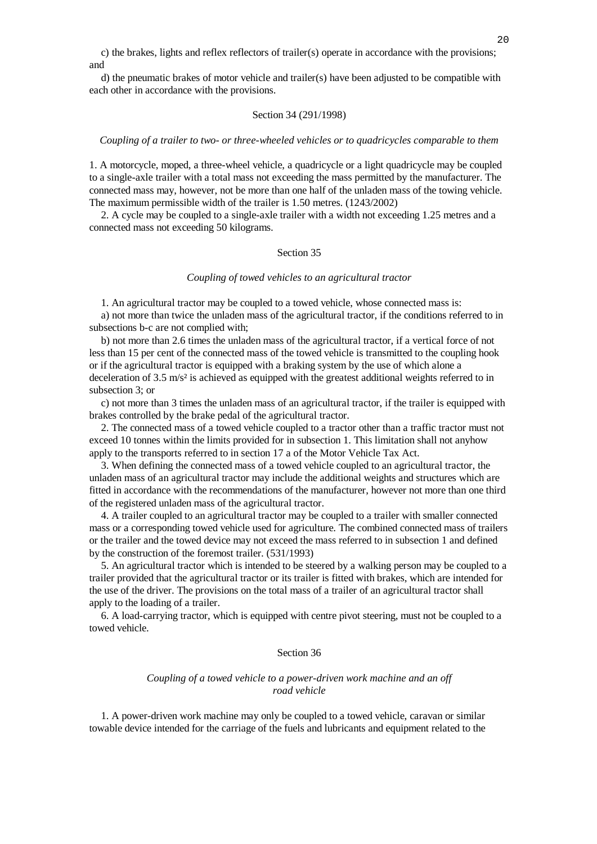c) the brakes, lights and reflex reflectors of trailer(s) operate in accordance with the provisions; and

 d) the pneumatic brakes of motor vehicle and trailer(s) have been adjusted to be compatible with each other in accordance with the provisions.

## Section 34 (291/1998)

### *Coupling of a trailer to two- or three-wheeled vehicles or to quadricycles comparable to them*

1. A motorcycle, moped, a three-wheel vehicle, a quadricycle or a light quadricycle may be coupled to a single-axle trailer with a total mass not exceeding the mass permitted by the manufacturer. The connected mass may, however, not be more than one half of the unladen mass of the towing vehicle. The maximum permissible width of the trailer is 1.50 metres. (1243/2002)

 2. A cycle may be coupled to a single-axle trailer with a width not exceeding 1.25 metres and a connected mass not exceeding 50 kilograms.

## Section 35

#### *Coupling of towed vehicles to an agricultural tractor*

1. An agricultural tractor may be coupled to a towed vehicle, whose connected mass is:

 a) not more than twice the unladen mass of the agricultural tractor, if the conditions referred to in subsections b-c are not complied with;

 b) not more than 2.6 times the unladen mass of the agricultural tractor, if a vertical force of not less than 15 per cent of the connected mass of the towed vehicle is transmitted to the coupling hook or if the agricultural tractor is equipped with a braking system by the use of which alone a deceleration of 3.5 m/s<sup>2</sup> is achieved as equipped with the greatest additional weights referred to in subsection 3; or

 c) not more than 3 times the unladen mass of an agricultural tractor, if the trailer is equipped with brakes controlled by the brake pedal of the agricultural tractor.

 2. The connected mass of a towed vehicle coupled to a tractor other than a traffic tractor must not exceed 10 tonnes within the limits provided for in subsection 1. This limitation shall not anyhow apply to the transports referred to in section 17 a of the Motor Vehicle Tax Act.

 3. When defining the connected mass of a towed vehicle coupled to an agricultural tractor, the unladen mass of an agricultural tractor may include the additional weights and structures which are fitted in accordance with the recommendations of the manufacturer, however not more than one third of the registered unladen mass of the agricultural tractor.

 4. A trailer coupled to an agricultural tractor may be coupled to a trailer with smaller connected mass or a corresponding towed vehicle used for agriculture. The combined connected mass of trailers or the trailer and the towed device may not exceed the mass referred to in subsection 1 and defined by the construction of the foremost trailer. (531/1993)

 5. An agricultural tractor which is intended to be steered by a walking person may be coupled to a trailer provided that the agricultural tractor or its trailer is fitted with brakes, which are intended for the use of the driver. The provisions on the total mass of a trailer of an agricultural tractor shall apply to the loading of a trailer.

 6. A load-carrying tractor, which is equipped with centre pivot steering, must not be coupled to a towed vehicle.

## Section 36

## *Coupling of a towed vehicle to a power-driven work machine and an off road vehicle*

 1. A power-driven work machine may only be coupled to a towed vehicle, caravan or similar towable device intended for the carriage of the fuels and lubricants and equipment related to the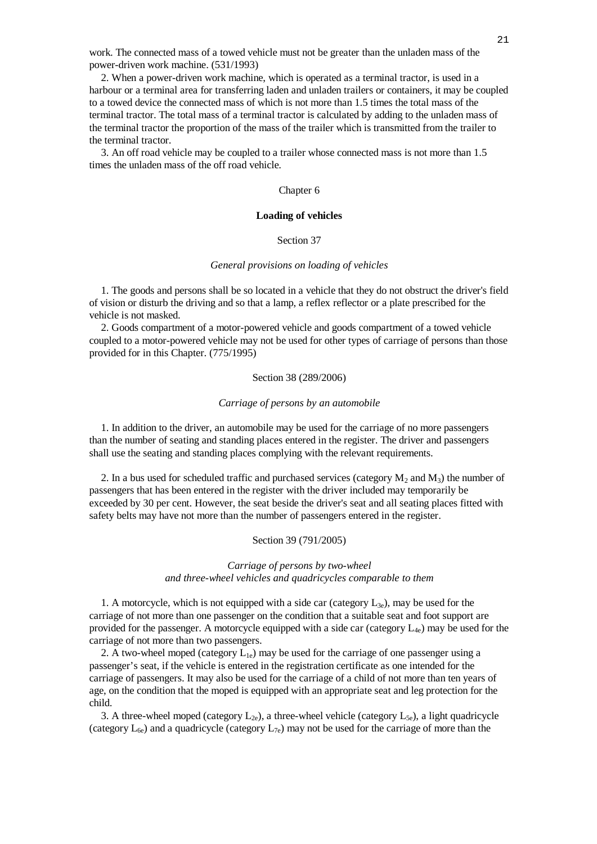work. The connected mass of a towed vehicle must not be greater than the unladen mass of the power-driven work machine. (531/1993)

 2. When a power-driven work machine, which is operated as a terminal tractor, is used in a harbour or a terminal area for transferring laden and unladen trailers or containers, it may be coupled to a towed device the connected mass of which is not more than 1.5 times the total mass of the terminal tractor. The total mass of a terminal tractor is calculated by adding to the unladen mass of the terminal tractor the proportion of the mass of the trailer which is transmitted from the trailer to the terminal tractor.

 3. An off road vehicle may be coupled to a trailer whose connected mass is not more than 1.5 times the unladen mass of the off road vehicle.

### Chapter 6

## **Loading of vehicles**

# Section 37

#### *General provisions on loading of vehicles*

 1. The goods and persons shall be so located in a vehicle that they do not obstruct the driver's field of vision or disturb the driving and so that a lamp, a reflex reflector or a plate prescribed for the vehicle is not masked.

 2. Goods compartment of a motor-powered vehicle and goods compartment of a towed vehicle coupled to a motor-powered vehicle may not be used for other types of carriage of persons than those provided for in this Chapter. (775/1995)

## Section 38 (289/2006)

#### *Carriage of persons by an automobile*

 1. In addition to the driver, an automobile may be used for the carriage of no more passengers than the number of seating and standing places entered in the register. The driver and passengers shall use the seating and standing places complying with the relevant requirements.

2. In a bus used for scheduled traffic and purchased services (category  $M_2$  and  $M_3$ ) the number of passengers that has been entered in the register with the driver included may temporarily be exceeded by 30 per cent. However, the seat beside the driver's seat and all seating places fitted with safety belts may have not more than the number of passengers entered in the register.

## Section 39 (791/2005)

# *Carriage of persons by two-wheel and three-wheel vehicles and quadricycles comparable to them*

1. A motorcycle, which is not equipped with a side car (category  $L_{3e}$ ), may be used for the carriage of not more than one passenger on the condition that a suitable seat and foot support are provided for the passenger. A motorcycle equipped with a side car (category  $L_{4e}$ ) may be used for the carriage of not more than two passengers.

2. A two-wheel moped (category  $L_{1e}$ ) may be used for the carriage of one passenger using a passenger's seat, if the vehicle is entered in the registration certificate as one intended for the carriage of passengers. It may also be used for the carriage of a child of not more than ten years of age, on the condition that the moped is equipped with an appropriate seat and leg protection for the child.

3. A three-wheel moped (category  $L_{2e}$ ), a three-wheel vehicle (category  $L_{5e}$ ), a light quadricycle (category  $L_{6e}$ ) and a quadricycle (category  $L_{7e}$ ) may not be used for the carriage of more than the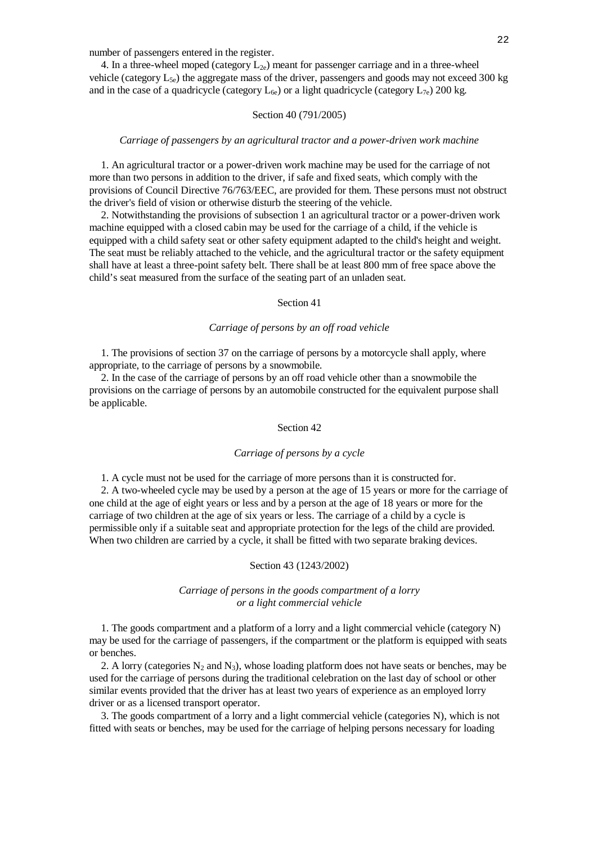number of passengers entered in the register.

4. In a three-wheel moped (category  $L_{2e}$ ) meant for passenger carriage and in a three-wheel vehicle (category  $L_{5e}$ ) the aggregate mass of the driver, passengers and goods may not exceed 300 kg and in the case of a quadricycle (category  $L_{6e}$ ) or a light quadricycle (category  $L_{7e}$ ) 200 kg.

## Section 40 (791/2005)

#### *Carriage of passengers by an agricultural tractor and a power-driven work machine*

 1. An agricultural tractor or a power-driven work machine may be used for the carriage of not more than two persons in addition to the driver, if safe and fixed seats, which comply with the provisions of Council Directive 76/763/EEC, are provided for them. These persons must not obstruct the driver's field of vision or otherwise disturb the steering of the vehicle.

 2. Notwithstanding the provisions of subsection 1 an agricultural tractor or a power-driven work machine equipped with a closed cabin may be used for the carriage of a child, if the vehicle is equipped with a child safety seat or other safety equipment adapted to the child's height and weight. The seat must be reliably attached to the vehicle, and the agricultural tractor or the safety equipment shall have at least a three-point safety belt. There shall be at least 800 mm of free space above the child's seat measured from the surface of the seating part of an unladen seat.

## Section 41

## *Carriage of persons by an off road vehicle*

 1. The provisions of section 37 on the carriage of persons by a motorcycle shall apply, where appropriate, to the carriage of persons by a snowmobile.

 2. In the case of the carriage of persons by an off road vehicle other than a snowmobile the provisions on the carriage of persons by an automobile constructed for the equivalent purpose shall be applicable.

## Section 42

#### *Carriage of persons by a cycle*

1. A cycle must not be used for the carriage of more persons than it is constructed for.

 2. A two-wheeled cycle may be used by a person at the age of 15 years or more for the carriage of one child at the age of eight years or less and by a person at the age of 18 years or more for the carriage of two children at the age of six years or less. The carriage of a child by a cycle is permissible only if a suitable seat and appropriate protection for the legs of the child are provided. When two children are carried by a cycle, it shall be fitted with two separate braking devices.

# Section 43 (1243/2002)

## *Carriage of persons in the goods compartment of a lorry or a light commercial vehicle*

 1. The goods compartment and a platform of a lorry and a light commercial vehicle (category N) may be used for the carriage of passengers, if the compartment or the platform is equipped with seats or benches.

2. A lorry (categories  $N_2$  and  $N_3$ ), whose loading platform does not have seats or benches, may be used for the carriage of persons during the traditional celebration on the last day of school or other similar events provided that the driver has at least two years of experience as an employed lorry driver or as a licensed transport operator.

 3. The goods compartment of a lorry and a light commercial vehicle (categories N), which is not fitted with seats or benches, may be used for the carriage of helping persons necessary for loading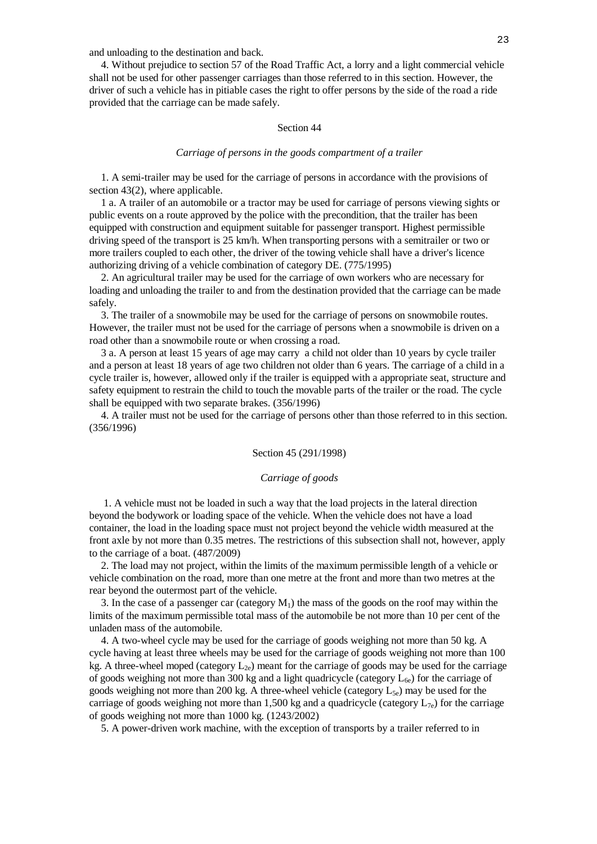and unloading to the destination and back.

 4. Without prejudice to section 57 of the Road Traffic Act, a lorry and a light commercial vehicle shall not be used for other passenger carriages than those referred to in this section. However, the driver of such a vehicle has in pitiable cases the right to offer persons by the side of the road a ride provided that the carriage can be made safely.

## Section 44

#### *Carriage of persons in the goods compartment of a trailer*

 1. A semi-trailer may be used for the carriage of persons in accordance with the provisions of section 43(2), where applicable.

 1 a. A trailer of an automobile or a tractor may be used for carriage of persons viewing sights or public events on a route approved by the police with the precondition, that the trailer has been equipped with construction and equipment suitable for passenger transport. Highest permissible driving speed of the transport is 25 km/h. When transporting persons with a semitrailer or two or more trailers coupled to each other, the driver of the towing vehicle shall have a driver's licence authorizing driving of a vehicle combination of category DE. (775/1995)

 2. An agricultural trailer may be used for the carriage of own workers who are necessary for loading and unloading the trailer to and from the destination provided that the carriage can be made safely.

 3. The trailer of a snowmobile may be used for the carriage of persons on snowmobile routes. However, the trailer must not be used for the carriage of persons when a snowmobile is driven on a road other than a snowmobile route or when crossing a road.

 3 a. A person at least 15 years of age may carry a child not older than 10 years by cycle trailer and a person at least 18 years of age two children not older than 6 years. The carriage of a child in a cycle trailer is, however, allowed only if the trailer is equipped with a appropriate seat, structure and safety equipment to restrain the child to touch the movable parts of the trailer or the road. The cycle shall be equipped with two separate brakes. (356/1996)

 4. A trailer must not be used for the carriage of persons other than those referred to in this section. (356/1996)

#### Section 45 (291/1998)

## *Carriage of goods*

 1. A vehicle must not be loaded in such a way that the load projects in the lateral direction beyond the bodywork or loading space of the vehicle. When the vehicle does not have a load container, the load in the loading space must not project beyond the vehicle width measured at the front axle by not more than 0.35 metres. The restrictions of this subsection shall not, however, apply to the carriage of a boat. (487/2009)

 2. The load may not project, within the limits of the maximum permissible length of a vehicle or vehicle combination on the road, more than one metre at the front and more than two metres at the rear beyond the outermost part of the vehicle.

3. In the case of a passenger car (category  $M_1$ ) the mass of the goods on the roof may within the limits of the maximum permissible total mass of the automobile be not more than 10 per cent of the unladen mass of the automobile.

 4. A two-wheel cycle may be used for the carriage of goods weighing not more than 50 kg. A cycle having at least three wheels may be used for the carriage of goods weighing not more than 100 kg. A three-wheel moped (category  $L_{2e}$ ) meant for the carriage of goods may be used for the carriage of goods weighing not more than 300 kg and a light quadricycle (category  $L_{6e}$ ) for the carriage of goods weighing not more than 200 kg. A three-wheel vehicle (category  $L_{5e}$ ) may be used for the carriage of goods weighing not more than 1,500 kg and a quadricycle (category  $L_{7e}$ ) for the carriage of goods weighing not more than 1000 kg. (1243/2002)

5. A power-driven work machine, with the exception of transports by a trailer referred to in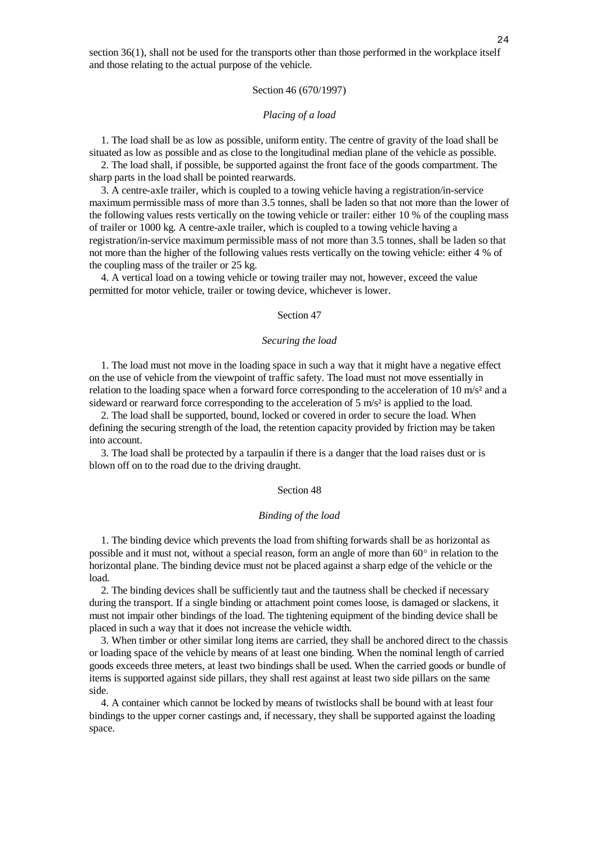section 36(1), shall not be used for the transports other than those performed in the workplace itself and those relating to the actual purpose of the vehicle.

## Section 46 (670/1997)

#### *Placing of a load*

 1. The load shall be as low as possible, uniform entity. The centre of gravity of the load shall be situated as low as possible and as close to the longitudinal median plane of the vehicle as possible.

 2. The load shall, if possible, be supported against the front face of the goods compartment. The sharp parts in the load shall be pointed rearwards.

 3. A centre-axle trailer, which is coupled to a towing vehicle having a registration/in-service maximum permissible mass of more than 3.5 tonnes, shall be laden so that not more than the lower of the following values rests vertically on the towing vehicle or trailer: either 10 % of the coupling mass of trailer or 1000 kg. A centre-axle trailer, which is coupled to a towing vehicle having a registration/in-service maximum permissible mass of not more than 3.5 tonnes, shall be laden so that not more than the higher of the following values rests vertically on the towing vehicle: either 4 % of the coupling mass of the trailer or 25 kg.

 4. A vertical load on a towing vehicle or towing trailer may not, however, exceed the value permitted for motor vehicle, trailer or towing device, whichever is lower.

#### Section 47

#### *Securing the load*

 1. The load must not move in the loading space in such a way that it might have a negative effect on the use of vehicle from the viewpoint of traffic safety. The load must not move essentially in relation to the loading space when a forward force corresponding to the acceleration of 10 m/s² and a sideward or rearward force corresponding to the acceleration of  $5 \text{ m/s}^2$  is applied to the load.

 2. The load shall be supported, bound, locked or covered in order to secure the load. When defining the securing strength of the load, the retention capacity provided by friction may be taken into account.

 3. The load shall be protected by a tarpaulin if there is a danger that the load raises dust or is blown off on to the road due to the driving draught.

#### Section 48

#### *Binding of the load*

 1. The binding device which prevents the load from shifting forwards shall be as horizontal as possible and it must not, without a special reason, form an angle of more than  $60^\circ$  in relation to the horizontal plane. The binding device must not be placed against a sharp edge of the vehicle or the load.

 2. The binding devices shall be sufficiently taut and the tautness shall be checked if necessary during the transport. If a single binding or attachment point comes loose, is damaged or slackens, it must not impair other bindings of the load. The tightening equipment of the binding device shall be placed in such a way that it does not increase the vehicle width.

 3. When timber or other similar long items are carried, they shall be anchored direct to the chassis or loading space of the vehicle by means of at least one binding. When the nominal length of carried goods exceeds three meters, at least two bindings shall be used. When the carried goods or bundle of items is supported against side pillars, they shall rest against at least two side pillars on the same side.

 4. A container which cannot be locked by means of twistlocks shall be bound with at least four bindings to the upper corner castings and, if necessary, they shall be supported against the loading space.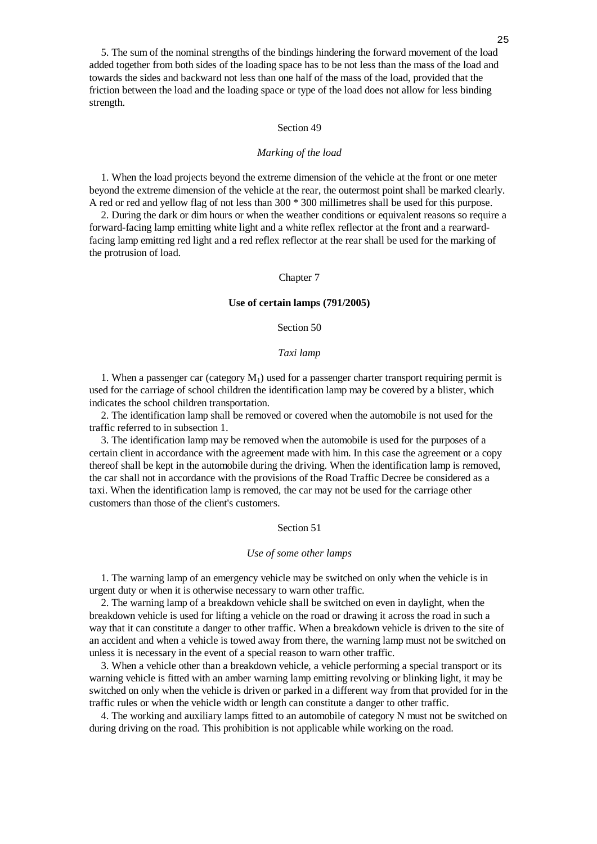## Section 49

strength.

#### *Marking of the load*

 1. When the load projects beyond the extreme dimension of the vehicle at the front or one meter beyond the extreme dimension of the vehicle at the rear, the outermost point shall be marked clearly. A red or red and yellow flag of not less than 300 \* 300 millimetres shall be used for this purpose.

 2. During the dark or dim hours or when the weather conditions or equivalent reasons so require a forward-facing lamp emitting white light and a white reflex reflector at the front and a rearwardfacing lamp emitting red light and a red reflex reflector at the rear shall be used for the marking of the protrusion of load.

#### Chapter 7

#### **Use of certain lamps (791/2005)**

## Section 50

#### *Taxi lamp*

1. When a passenger car (category  $M_1$ ) used for a passenger charter transport requiring permit is used for the carriage of school children the identification lamp may be covered by a blister, which indicates the school children transportation.

 2. The identification lamp shall be removed or covered when the automobile is not used for the traffic referred to in subsection 1.

 3. The identification lamp may be removed when the automobile is used for the purposes of a certain client in accordance with the agreement made with him. In this case the agreement or a copy thereof shall be kept in the automobile during the driving. When the identification lamp is removed, the car shall not in accordance with the provisions of the Road Traffic Decree be considered as a taxi. When the identification lamp is removed, the car may not be used for the carriage other customers than those of the client's customers.

## Section 51

#### *Use of some other lamps*

 1. The warning lamp of an emergency vehicle may be switched on only when the vehicle is in urgent duty or when it is otherwise necessary to warn other traffic.

 2. The warning lamp of a breakdown vehicle shall be switched on even in daylight, when the breakdown vehicle is used for lifting a vehicle on the road or drawing it across the road in such a way that it can constitute a danger to other traffic. When a breakdown vehicle is driven to the site of an accident and when a vehicle is towed away from there, the warning lamp must not be switched on unless it is necessary in the event of a special reason to warn other traffic.

 3. When a vehicle other than a breakdown vehicle, a vehicle performing a special transport or its warning vehicle is fitted with an amber warning lamp emitting revolving or blinking light, it may be switched on only when the vehicle is driven or parked in a different way from that provided for in the traffic rules or when the vehicle width or length can constitute a danger to other traffic.

 4. The working and auxiliary lamps fitted to an automobile of category N must not be switched on during driving on the road. This prohibition is not applicable while working on the road.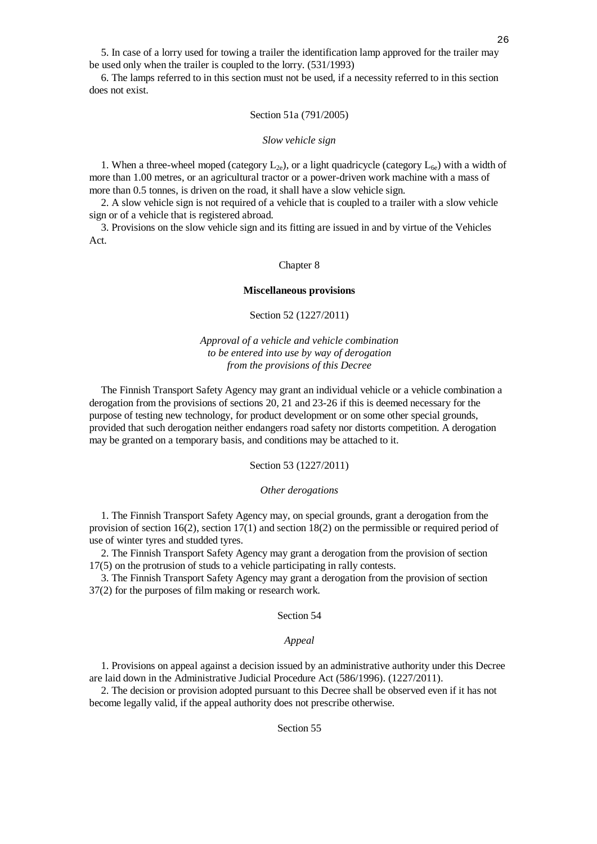5. In case of a lorry used for towing a trailer the identification lamp approved for the trailer may be used only when the trailer is coupled to the lorry. (531/1993)

26

 6. The lamps referred to in this section must not be used, if a necessity referred to in this section does not exist.

## Section 51a (791/2005)

#### *Slow vehicle sign*

1. When a three-wheel moped (category  $L_{2e}$ ), or a light quadricycle (category  $L_{6e}$ ) with a width of more than 1.00 metres, or an agricultural tractor or a power-driven work machine with a mass of more than 0.5 tonnes, is driven on the road, it shall have a slow vehicle sign.

 2. A slow vehicle sign is not required of a vehicle that is coupled to a trailer with a slow vehicle sign or of a vehicle that is registered abroad.

 3. Provisions on the slow vehicle sign and its fitting are issued in and by virtue of the Vehicles Act.

#### Chapter 8

### **Miscellaneous provisions**

# Section 52 (1227/2011)

# *Approval of a vehicle and vehicle combination to be entered into use by way of derogation from the provisions of this Decree*

 The Finnish Transport Safety Agency may grant an individual vehicle or a vehicle combination a derogation from the provisions of sections 20, 21 and 23-26 if this is deemed necessary for the purpose of testing new technology, for product development or on some other special grounds, provided that such derogation neither endangers road safety nor distorts competition. A derogation may be granted on a temporary basis, and conditions may be attached to it.

Section 53 (1227/2011)

## *Other derogations*

 1. The Finnish Transport Safety Agency may, on special grounds, grant a derogation from the provision of section  $16(2)$ , section  $17(1)$  and section  $18(2)$  on the permissible or required period of use of winter tyres and studded tyres.

 2. The Finnish Transport Safety Agency may grant a derogation from the provision of section 17(5) on the protrusion of studs to a vehicle participating in rally contests.

 3. The Finnish Transport Safety Agency may grant a derogation from the provision of section 37(2) for the purposes of film making or research work.

## Section 54

#### *Appeal*

 1. Provisions on appeal against a decision issued by an administrative authority under this Decree are laid down in the Administrative Judicial Procedure Act (586/1996). (1227/2011).

 2. The decision or provision adopted pursuant to this Decree shall be observed even if it has not become legally valid, if the appeal authority does not prescribe otherwise.

## Section 55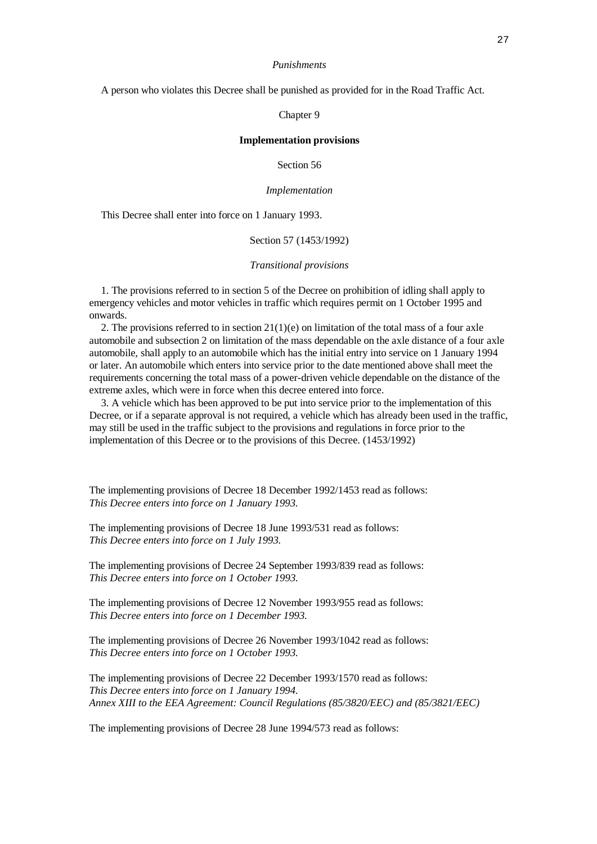#### *Punishments*

A person who violates this Decree shall be punished as provided for in the Road Traffic Act.

## Chapter 9

# **Implementation provisions**

Section 56

#### *Implementation*

This Decree shall enter into force on 1 January 1993.

Section 57 (1453/1992)

#### *Transitional provisions*

 1. The provisions referred to in section 5 of the Decree on prohibition of idling shall apply to emergency vehicles and motor vehicles in traffic which requires permit on 1 October 1995 and onwards.

2. The provisions referred to in section  $21(1)(e)$  on limitation of the total mass of a four axle automobile and subsection 2 on limitation of the mass dependable on the axle distance of a four axle automobile, shall apply to an automobile which has the initial entry into service on 1 January 1994 or later. An automobile which enters into service prior to the date mentioned above shall meet the requirements concerning the total mass of a power-driven vehicle dependable on the distance of the extreme axles, which were in force when this decree entered into force.

 3. A vehicle which has been approved to be put into service prior to the implementation of this Decree, or if a separate approval is not required, a vehicle which has already been used in the traffic, may still be used in the traffic subject to the provisions and regulations in force prior to the implementation of this Decree or to the provisions of this Decree. (1453/1992)

The implementing provisions of Decree 18 December 1992/1453 read as follows: *This Decree enters into force on 1 January 1993.*

The implementing provisions of Decree 18 June 1993/531 read as follows: *This Decree enters into force on 1 July 1993.*

The implementing provisions of Decree 24 September 1993/839 read as follows: *This Decree enters into force on 1 October 1993.*

The implementing provisions of Decree 12 November 1993/955 read as follows: *This Decree enters into force on 1 December 1993.*

The implementing provisions of Decree 26 November 1993/1042 read as follows: *This Decree enters into force on 1 October 1993.*

The implementing provisions of Decree 22 December 1993/1570 read as follows: *This Decree enters into force on 1 January 1994. Annex XIII to the EEA Agreement: Council Regulations (85/3820/EEC) and (85/3821/EEC)*

The implementing provisions of Decree 28 June 1994/573 read as follows: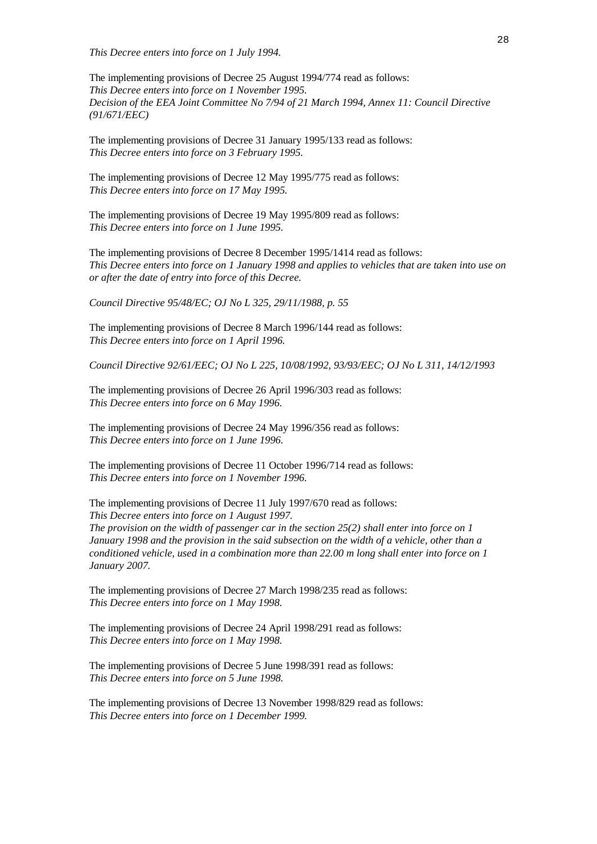*This Decree enters into force on 1 July 1994.*

The implementing provisions of Decree 25 August 1994/774 read as follows: *This Decree enters into force on 1 November 1995. Decision of the EEA Joint Committee No 7/94 of 21 March 1994, Annex 11: Council Directive (91/671/EEC)*

The implementing provisions of Decree 31 January 1995/133 read as follows: *This Decree enters into force on 3 February 1995.*

The implementing provisions of Decree 12 May 1995/775 read as follows: *This Decree enters into force on 17 May 1995.*

The implementing provisions of Decree 19 May 1995/809 read as follows: *This Decree enters into force on 1 June 1995.*

The implementing provisions of Decree 8 December 1995/1414 read as follows: *This Decree enters into force on 1 January 1998 and applies to vehicles that are taken into use on or after the date of entry into force of this Decree.*

*Council Directive 95/48/EC; OJ No L 325, 29/11/1988, p. 55*

The implementing provisions of Decree 8 March 1996/144 read as follows: *This Decree enters into force on 1 April 1996.*

*Council Directive 92/61/EEC; OJ No L 225, 10/08/1992, 93/93/EEC; OJ No L 311, 14/12/1993*

The implementing provisions of Decree 26 April 1996/303 read as follows: *This Decree enters into force on 6 May 1996.*

The implementing provisions of Decree 24 May 1996/356 read as follows: *This Decree enters into force on 1 June 1996.*

The implementing provisions of Decree 11 October 1996/714 read as follows: *This Decree enters into force on 1 November 1996.*

The implementing provisions of Decree 11 July 1997/670 read as follows: *This Decree enters into force on 1 August 1997. The provision on the width of passenger car in the section 25(2) shall enter into force on 1 January 1998 and the provision in the said subsection on the width of a vehicle, other than a conditioned vehicle, used in a combination more than 22.00 m long shall enter into force on 1 January 2007.*

The implementing provisions of Decree 27 March 1998/235 read as follows: *This Decree enters into force on 1 May 1998.*

The implementing provisions of Decree 24 April 1998/291 read as follows: *This Decree enters into force on 1 May 1998.*

The implementing provisions of Decree 5 June 1998/391 read as follows: *This Decree enters into force on 5 June 1998.*

The implementing provisions of Decree 13 November 1998/829 read as follows: *This Decree enters into force on 1 December 1999.*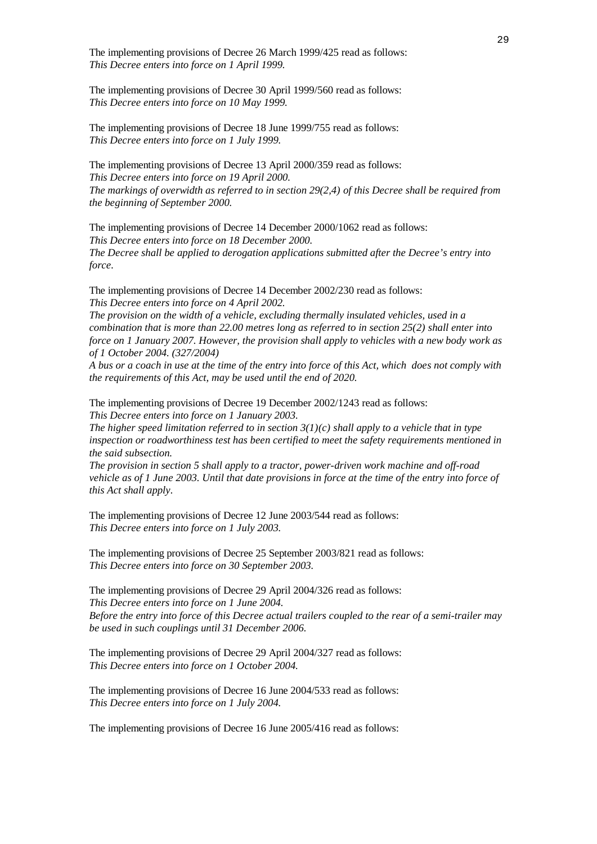The implementing provisions of Decree 26 March 1999/425 read as follows: *This Decree enters into force on 1 April 1999.*

The implementing provisions of Decree 30 April 1999/560 read as follows: *This Decree enters into force on 10 May 1999.*

The implementing provisions of Decree 18 June 1999/755 read as follows: *This Decree enters into force on 1 July 1999.*

The implementing provisions of Decree 13 April 2000/359 read as follows: *This Decree enters into force on 19 April 2000. The markings of overwidth as referred to in section 29(2,4) of this Decree shall be required from the beginning of September 2000.*

The implementing provisions of Decree 14 December 2000/1062 read as follows: *This Decree enters into force on 18 December 2000. The Decree shall be applied to derogation applications submitted after the Decree's entry into force.*

The implementing provisions of Decree 14 December 2002/230 read as follows: *This Decree enters into force on 4 April 2002.*

*The provision on the width of a vehicle, excluding thermally insulated vehicles, used in a combination that is more than 22.00 metres long as referred to in section 25(2) shall enter into force on 1 January 2007. However, the provision shall apply to vehicles with a new body work as of 1 October 2004. (327/2004)*

*A bus or a coach in use at the time of the entry into force of this Act, which does not comply with the requirements of this Act, may be used until the end of 2020.*

The implementing provisions of Decree 19 December 2002/1243 read as follows: *This Decree enters into force on 1 January 2003.*

*The higher speed limitation referred to in section 3(1)(c) shall apply to a vehicle that in type inspection or roadworthiness test has been certified to meet the safety requirements mentioned in the said subsection.*

*The provision in section 5 shall apply to a tractor, power-driven work machine and off-road vehicle as of 1 June 2003. Until that date provisions in force at the time of the entry into force of this Act shall apply.*

The implementing provisions of Decree 12 June 2003/544 read as follows: *This Decree enters into force on 1 July 2003.*

The implementing provisions of Decree 25 September 2003/821 read as follows: *This Decree enters into force on 30 September 2003.*

The implementing provisions of Decree 29 April 2004/326 read as follows: *This Decree enters into force on 1 June 2004. Before the entry into force of this Decree actual trailers coupled to the rear of a semi-trailer may be used in such couplings until 31 December 2006.*

The implementing provisions of Decree 29 April 2004/327 read as follows: *This Decree enters into force on 1 October 2004.*

The implementing provisions of Decree 16 June 2004/533 read as follows: *This Decree enters into force on 1 July 2004.*

The implementing provisions of Decree 16 June 2005/416 read as follows: